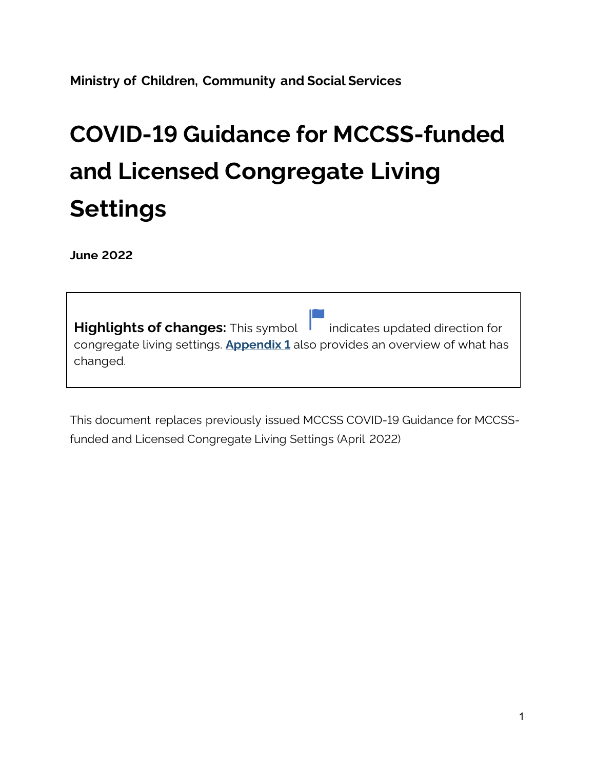**Ministry of Children, Community and Social Services**

# **COVID-19 Guidance for MCCSS-funded and Licensed Congregate Living Settings**

**June 2022** 

| <b>Highlights of changes:</b> This symbol indicates updated direction for                       |  |  |  |
|-------------------------------------------------------------------------------------------------|--|--|--|
| congregate living settings. <b>Appendix 1</b> also provides an overview of what has<br>changed. |  |  |  |
|                                                                                                 |  |  |  |

This document replaces previously issued MCCSS COVID-19 Guidance for MCCSSfunded and Licensed Congregate Living Settings (April 2022)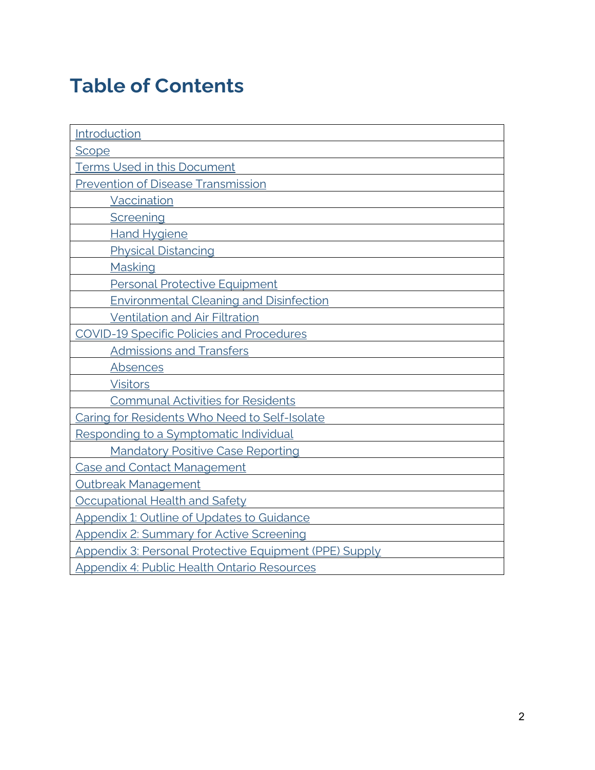# **Table of Contents**

| Introduction                                                  |  |
|---------------------------------------------------------------|--|
| Scope                                                         |  |
| <b>Terms Used in this Document</b>                            |  |
| <b>Prevention of Disease Transmission</b>                     |  |
| <b>Vaccination</b>                                            |  |
| Screening                                                     |  |
| <b>Hand Hygiene</b>                                           |  |
| <b>Physical Distancing</b>                                    |  |
| Masking                                                       |  |
| <b>Personal Protective Equipment</b>                          |  |
| <b>Environmental Cleaning and Disinfection</b>                |  |
| <b>Ventilation and Air Filtration</b>                         |  |
| <b>COVID-19 Specific Policies and Procedures</b>              |  |
| <b>Admissions and Transfers</b>                               |  |
| Absences                                                      |  |
| <b>Visitors</b>                                               |  |
| <b>Communal Activities for Residents</b>                      |  |
| Caring for Residents Who Need to Self-Isolate                 |  |
| Responding to a Symptomatic Individual                        |  |
| <b>Mandatory Positive Case Reporting</b>                      |  |
| <b>Case and Contact Management</b>                            |  |
| Outbreak Management                                           |  |
| Occupational Health and Safety                                |  |
| <b>Appendix 1: Outline of Updates to Guidance</b>             |  |
| <b>Appendix 2: Summary for Active Screening</b>               |  |
| <b>Appendix 3: Personal Protective Equipment (PPE) Supply</b> |  |
| <b>Appendix 4: Public Health Ontario Resources</b>            |  |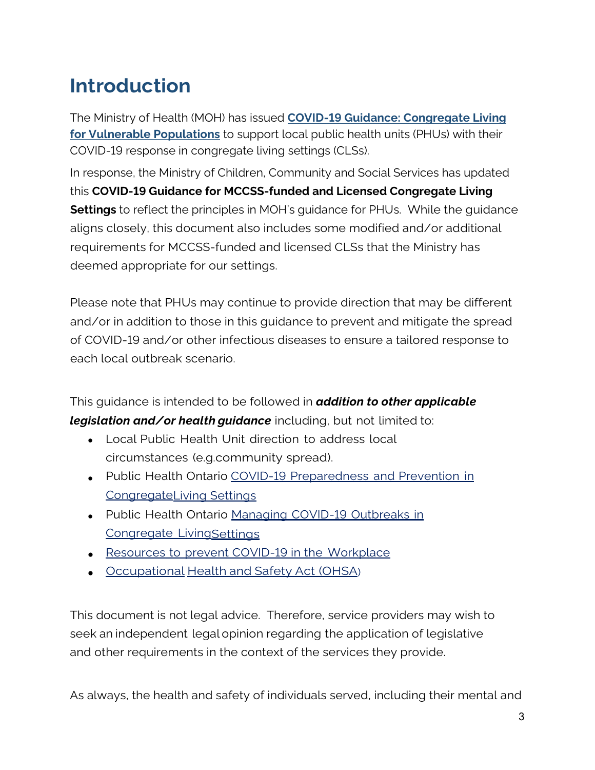# <span id="page-2-0"></span>**Introduction**

The Ministry of Health (MOH) has issued **[COVID-19 Guidance: Congregate Living](https://www.health.gov.on.ca/en/pro/programs/publichealth/coronavirus/docs/2019_congregate_living_guidance.pdf)  [for Vulnerable Populations](https://www.health.gov.on.ca/en/pro/programs/publichealth/coronavirus/docs/2019_congregate_living_guidance.pdf)** to support local public health units (PHUs) with their COVID-19 response in congregate living settings (CLSs).

In response, the Ministry of Children, Community and Social Services has updated this **COVID-19 Guidance for MCCSS-funded and Licensed Congregate Living Settings** to reflect the principles in MOH's guidance for PHUs. While the guidance aligns closely, this document also includes some modified and/or additional requirements for MCCSS-funded and licensed CLSs that the Ministry has deemed appropriate for our settings.

Please note that PHUs may continue to provide direction that may be different and/or in addition to those in this guidance to prevent and mitigate the spread of COVID-19 and/or other infectious diseases to ensure a tailored response to each local outbreak scenario.

This guidance is intended to be followed in *addition to other applicable legislation and/or health guidance* including, but not limited to:

- Local Public Health Unit direction to address local circumstances (e.g.community spread).
- Public Health Ontario COVID-19 [Preparedness](https://www.publichealthontario.ca/-/media/documents/ncov/cong/2020/05/covid-19-preparedness-prevention-congregate-living-settings.pdf?la=en) and Prevention in [CongregateL](https://www.publichealthontario.ca/-/media/documents/ncov/cong/2020/05/covid-19-preparedness-prevention-congregate-living-settings.pdf?la=en)iving [Settings](https://www.publichealthontario.ca/-/media/documents/ncov/cong/2020/05/covid-19-preparedness-prevention-congregate-living-settings.pdf?la=en)
- Public Health Ontario Managing COVID-19 [Outbreaks](https://www.publichealthontario.ca/-/media/documents/ncov/cong/2020/05/managing-covid-19-outbreaks-congregate-living-settings.pdf?la=en) in [Congregate](https://www.publichealthontario.ca/-/media/documents/ncov/cong/2020/05/managing-covid-19-outbreaks-congregate-living-settings.pdf?la=en) Livin[gSettings](https://www.publichealthontario.ca/-/media/documents/ncov/cong/2020/05/managing-covid-19-outbreaks-congregate-living-settings.pdf?la=en)
- [Resources to](https://www.ontario.ca/page/resources-prevent-covid-19-workplace) prevent COVID-19 in the Workplace
- Occupational Health [and Safety Act](https://www.ontario.ca/laws/statute/90o01) (OHSA)

This document is not legal advice. Therefore, service providers may wish to seek an independent legal opinion regarding the application of legislative and other requirements in the context of the services they provide.

As always, the health and safety of individuals served, including their mental and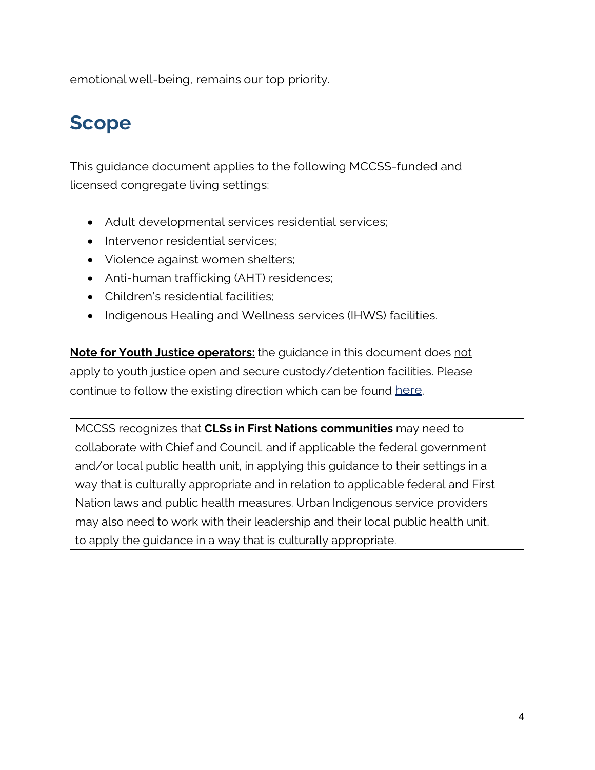emotional well-being, remains our top priority.

# <span id="page-3-0"></span>**Scope**

This guidance document applies to the following MCCSS-funded and licensed congregate living settings:

- Adult developmental services residential services;
- Intervenor residential services:
- Violence against women shelters;
- Anti-human trafficking (AHT) residences;
- Children's residential facilities;
- Indigenous Healing and Wellness services (IHWS) facilities.

**Note for Youth Justice operators:** the guidance in this document does not apply to youth justice open and secure custody/detention facilities. Please continue to follow the existing direction which can be found [here.](http://www.children.gov.on.ca/htdocs/English/youthandthelaw/youth-justice-facilities.aspx)

<span id="page-3-1"></span>MCCSS recognizes that **CLSs in First Nations communities** may need to collaborate with Chief and Council, and if applicable the federal government and/or local public health unit, in applying this guidance to their settings in a way that is culturally appropriate and in relation to applicable federal and First Nation laws and public health measures. Urban Indigenous service providers may also need to work with their leadership and their local public health unit, to apply the guidance in a way that is culturally appropriate.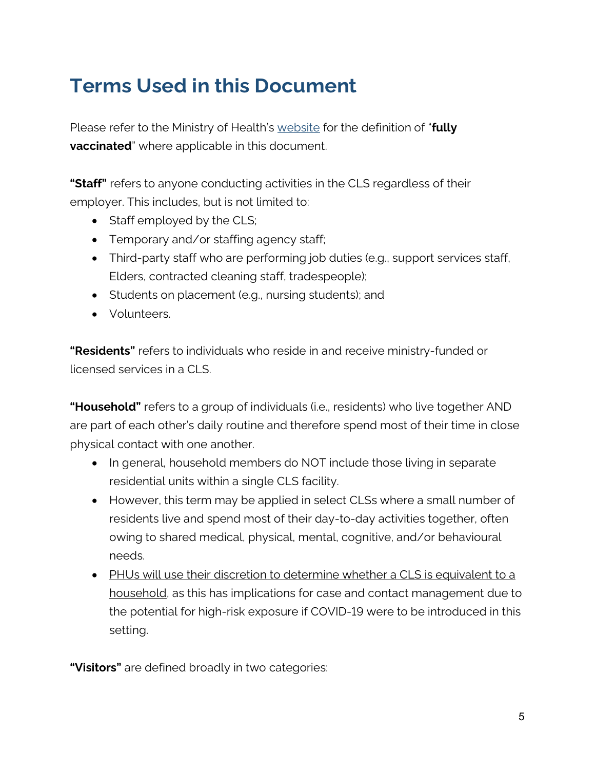# **Terms Used in this Document**

Please refer to the Ministry of Health's [website](https://covid-19.ontario.ca/proof-covid-19-vaccination#proof-of-vaccination) for the definition of "**fully vaccinated**" where applicable in this document.

**"Staff"** refers to anyone conducting activities in the CLS regardless of their employer. This includes, but is not limited to:

- Staff employed by the CLS;
- Temporary and/or staffing agency staff;
- Third-party staff who are performing job duties (e.g., support services staff, Elders, contracted cleaning staff, tradespeople);
- Students on placement (e.g., nursing students); and
- Volunteers.

**"Residents"** refers to individuals who reside in and receive ministry-funded or licensed services in a CLS.

**"Household"** refers to a group of individuals (i.e., residents) who live together AND are part of each other's daily routine and therefore spend most of their time in close physical contact with one another.

- In general, household members do NOT include those living in separate residential units within a single CLS facility.
- However, this term may be applied in select CLSs where a small number of residents live and spend most of their day-to-day activities together, often owing to shared medical, physical, mental, cognitive, and/or behavioural needs.
- PHUs will use their discretion to determine whether a CLS is equivalent to a household, as this has implications for case and contact management [due to](https://www.health.gov.on.ca/en/pro/programs/publichealth/coronavirus/docs/contact_mngmt/management_cases_contacts.pdf)  [the potential for high-risk exposure](https://www.health.gov.on.ca/en/pro/programs/publichealth/coronavirus/docs/contact_mngmt/management_cases_contacts.pdf) if COVID-19 were to be introduced in this setting.

**"Visitors"** are defined broadly in two categories: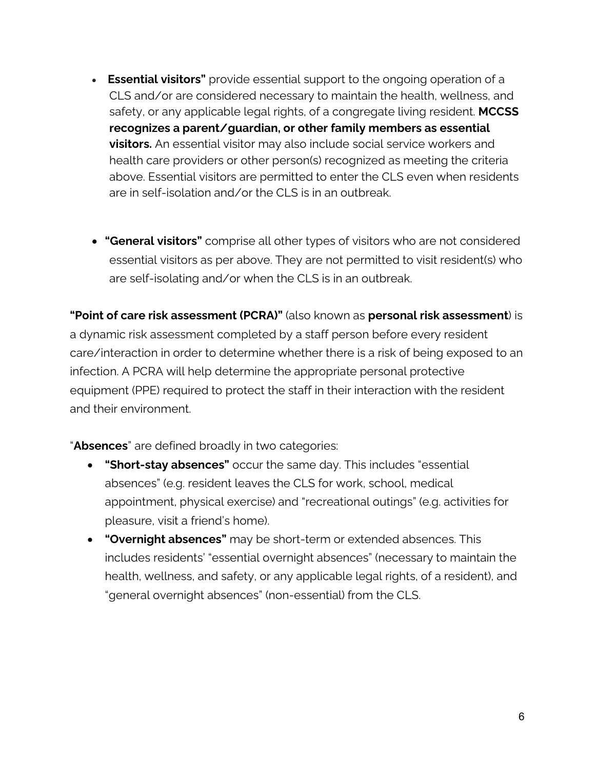- **Essential visitors"** provide essential support to the ongoing operation of a CLS and/or are considered necessary to maintain the health, wellness, and safety, or any applicable legal rights, of a congregate living resident. **MCCSS recognizes a parent/guardian, or other family members as essential visitors.** An essential visitor may also include social service workers and health care providers or other person(s) recognized as meeting the criteria above. Essential visitors are permitted to enter the CLS even when residents are in self-isolation and/or the CLS is in an outbreak.
- **"General visitors"** comprise all other types of visitors who are not considered essential visitors as per above. They are not permitted to visit resident(s) who are self-isolating and/or when the CLS is in an outbreak.

**"Point of care risk assessment (PCRA)"** (also known as **personal risk assessment**) is a dynamic risk assessment completed by a staff person before every resident care/interaction in order to determine whether there is a risk of being exposed to an infection. A PCRA will help determine the appropriate personal protective equipment (PPE) required to protect the staff in their interaction with the resident and their environment.

"**Absences**" are defined broadly in two categories:

- **"Short-stay absences"** occur the same day. This includes "essential absences" (e.g. resident leaves the CLS for work, school, medical appointment, physical exercise) and "recreational outings" (e.g. activities for pleasure, visit a friend's home).
- **"Overnight absences"** may be short-term or extended absences. This includes residents' "essential overnight absences" (necessary to maintain the health, wellness, and safety, or any applicable legal rights, of a resident), and "general overnight absences" (non-essential) from the CLS.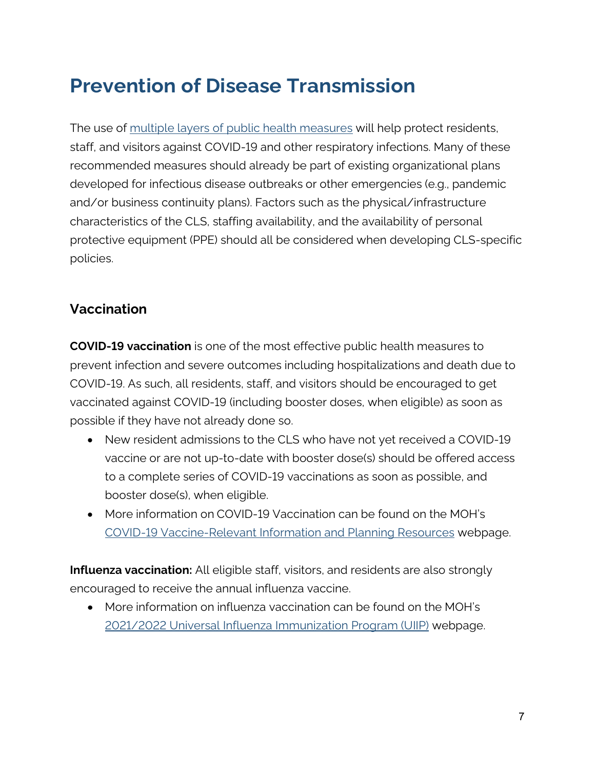# <span id="page-6-0"></span>**Prevention of Disease Transmission**

The use of [multiple layers of public health measures](https://www.publichealthontario.ca/-/media/documents/ncov/factsheet/2021/06/lp/fact-sheet-covid-19-preventive-layers.pdf?la=en&sc_lang=en) will help protect residents, staff, and visitors against COVID-19 and other respiratory infections. Many of these recommended measures should already be part of existing organizational plans developed for infectious disease outbreaks or other emergencies (e.g., pandemic and/or business continuity plans). Factors such as the physical/infrastructure characteristics of the CLS, staffing availability, and the availability of personal protective equipment (PPE) should all be considered when developing CLS-specific policies.

### <span id="page-6-1"></span>**Vaccination**

**COVID-19 vaccination** is one of the most effective public health measures to prevent infection and severe outcomes including hospitalizations and death due to COVID-19. As such, all residents, staff, and visitors should be encouraged to get vaccinated against COVID-19 (including booster doses, when eligible) as soon as possible if they have not already done so.

- New resident admissions to the CLS who have not yet received a COVID-19 vaccine or are not up-to-date with booster dose(s) should be offered access to a complete series of COVID-19 vaccinations as soon as possible, and booster dose(s), when eligible.
- More information on COVID-19 Vaccination can be found on the MOH's [COVID-19 Vaccine-Relevant Information and Planning Resources](https://www.health.gov.on.ca/en/pro/programs/publichealth/coronavirus/covid19_vaccine.aspx) webpage.

**Influenza vaccination:** All eligible staff, visitors, and residents are also strongly encouraged to receive the annual influenza vaccine.

• More information on influenza vaccination can be found on the MOH's [2021/2022 Universal Influenza Immunization Program \(UIIP\)](https://www.health.gov.on.ca/en/pro/programs/publichealth/flu/uiip/) webpage.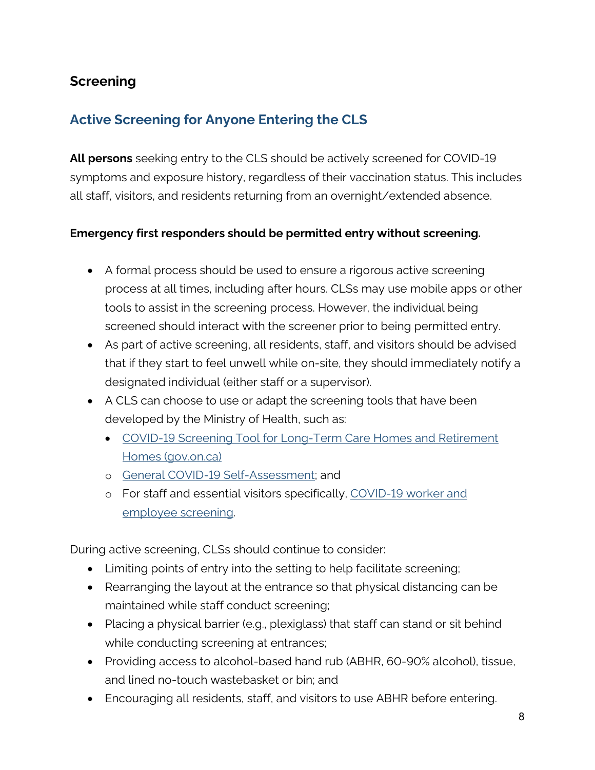### <span id="page-7-0"></span>**Screening**

### <span id="page-7-1"></span>**Active Screening for Anyone Entering the CLS**

**All persons** seeking entry to the CLS should be actively screened for COVID-19 symptoms and exposure history, regardless of their vaccination status. This includes all staff, visitors, and residents returning from an overnight/extended absence.

#### **Emergency first responders should be permitted entry without screening.**

- A formal process should be used to ensure a rigorous active screening process at all times, including after hours. CLSs may use mobile apps or other tools to assist in the screening process. However, the individual being screened should interact with the screener prior to being permitted entry.
- As part of active screening, all residents, staff, and visitors should be advised that if they start to feel unwell while on-site, they should immediately notify a designated individual (either staff or a supervisor).
- A CLS can choose to use or adapt the screening tools that have been developed by the Ministry of Health, such as:
	- [COVID-19 Screening Tool for Long-Term Care Homes and Retirement](https://www.health.gov.on.ca/en/pro/programs/publichealth/coronavirus/docs/2019_screening_guidance.pdf)  [Homes \(gov.on.ca\)](https://www.health.gov.on.ca/en/pro/programs/publichealth/coronavirus/docs/2019_screening_guidance.pdf)
	- o [General COVID-19 Self-Assessment;](https://covid-19.ontario.ca/self-assessment/) and
	- o For staff and essential visitors specifically, [COVID-19 worker and](https://covid-19.ontario.ca/screening/worker/)  [employee screening.](https://covid-19.ontario.ca/screening/worker/)

During active screening, CLSs should continue to consider:

- Limiting points of entry into the setting to help facilitate screening;
- Rearranging the layout at the entrance so that physical distancing can be maintained while staff conduct screening;
- Placing a physical barrier (e.g., plexiglass) that staff can stand or sit behind while conducting screening at entrances;
- Providing access to alcohol-based hand rub (ABHR, 60-90% alcohol), tissue, and lined no-touch wastebasket or bin; and
- Encouraging all residents, staff, and visitors to use ABHR before entering.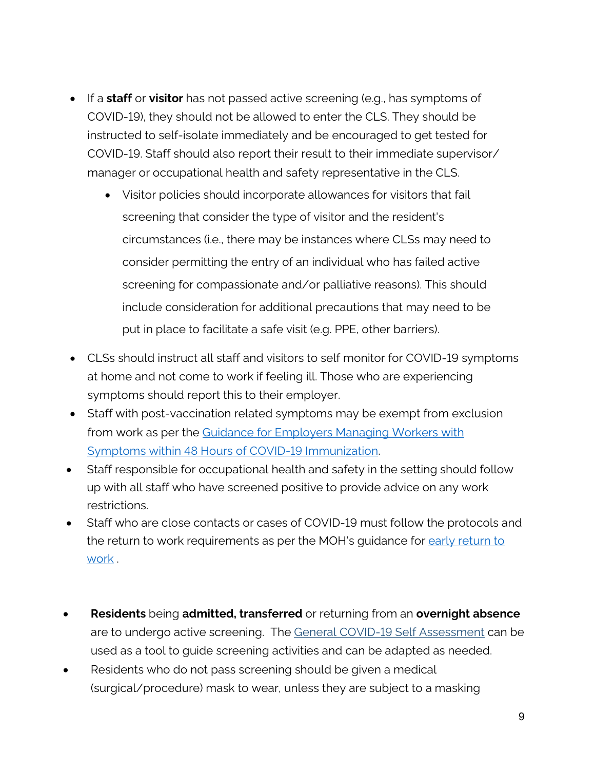- If a **staff** or **visitor** has not passed active screening (e.g., has symptoms of COVID-19), they should not be allowed to enter the CLS. They should be instructed to self-isolate immediately and be encouraged to get tested for COVID-19. Staff should also report their result to their immediate supervisor/ manager or occupational health and safety representative in the CLS.
	- Visitor policies should incorporate allowances for visitors that fail screening that consider the type of visitor and the resident's circumstances (i.e., there may be instances where CLSs may need to consider permitting the entry of an individual who has failed active screening for compassionate and/or palliative reasons). This should include consideration for additional precautions that may need to be put in place to facilitate a safe visit (e.g. PPE, other barriers).
- CLSs should instruct all staff and visitors to self monitor for COVID-19 symptoms at home and not come to work if feeling ill. Those who are experiencing symptoms should report this to their employer.
- Staff with post-vaccination related symptoms may be exempt from exclusion from work as per the Guidance for Employers Managing Workers with [Symptoms within 48 Hours of COVID-19 Immunization.](https://www.health.gov.on.ca/en/pro/programs/publichealth/coronavirus/docs/guidance_for_screening_vaccinated_individuals.pdf)
- Staff responsible for occupational health and safety in the setting should follow up with all staff who have screened positive to provide advice on any work restrictions.
- Staff who are close contacts or cases of COVID-19 must follow the protocols and the return to work requirements as per the MOH's guidance for early return to [work](https://www.health.gov.on.ca/en/pro/programs/publichealth/coronavirus/docs/early_return%20_to_work.pdf) .
- **Residents** being **admitted, transferred** or returning from an **overnight absence** are to undergo active screening. The [General COVID-19 Self Assessment](https://covid-19.ontario.ca/self-assessment/) can be used as a tool to guide screening activities and can be adapted as needed.
- Residents who do not pass screening should be given a medical (surgical/procedure) mask to wear, unless they are subject to a masking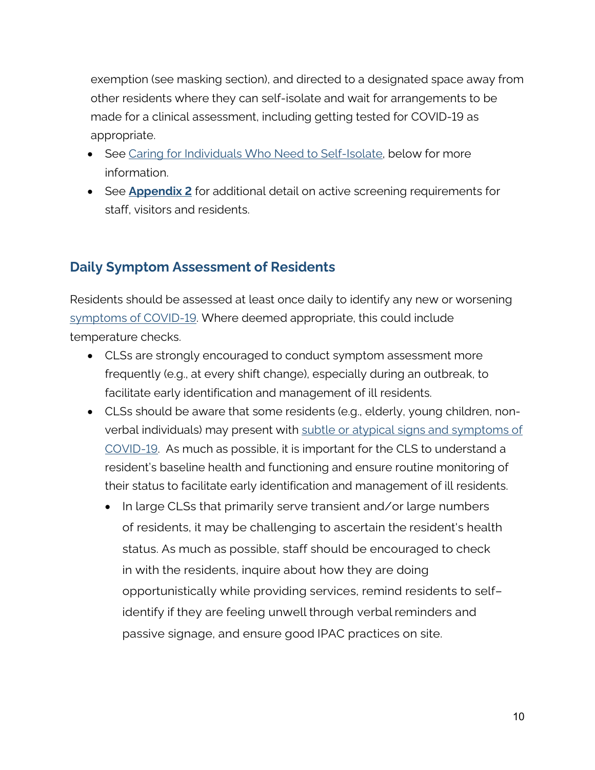exemption (see masking section), and directed to a designated space away from other residents where they can self-isolate and wait for arrangements to be made for a clinical assessment, including getting tested for COVID-19 as appropriate.

- See [Caring for Individuals Who Need to Self-Isolate,](#page-23-0) below for more information.
- See **[Appendix 2](#page-33-0)** for additional detail on active screening requirements for staff, visitors and residents.

### **Daily Symptom Assessment of Residents**

Residents should be assessed at least once daily to identify any new or worsening [symptoms of COVID-19.](http://www.health.gov.on.ca/en/pro/programs/publichealth/coronavirus/docs/2019_reference_doc_symptoms.pdf) Where deemed appropriate, this could include temperature checks.

- CLSs are strongly encouraged to conduct symptom assessment more frequently (e.g., at every shift change), especially during an outbreak, to facilitate early identification and management of ill residents.
- CLSs should be aware that some residents (e.g., elderly, young children, nonverbal individuals) may present with [subtle or atypical signs and symptoms of](https://www.health.gov.on.ca/en/pro/programs/publichealth/coronavirus/docs/2019_reference_doc_symptoms.pdf)  [COVID-19.](https://www.health.gov.on.ca/en/pro/programs/publichealth/coronavirus/docs/2019_reference_doc_symptoms.pdf) As much as possible, it is important for the CLS to understand a resident's baseline health and functioning and ensure routine monitoring of their status to facilitate early identification and management of ill residents.
	- In large CLSs that primarily serve transient and/or large numbers of residents, it may be challenging to ascertain the resident's health status. As much as possible, staff should be encouraged to check in with the residents, inquire about how they are doing opportunistically while providing services, remind residents to selfidentify if they are feeling unwell through verbal reminders and passive signage, and ensure good IPAC practices on site.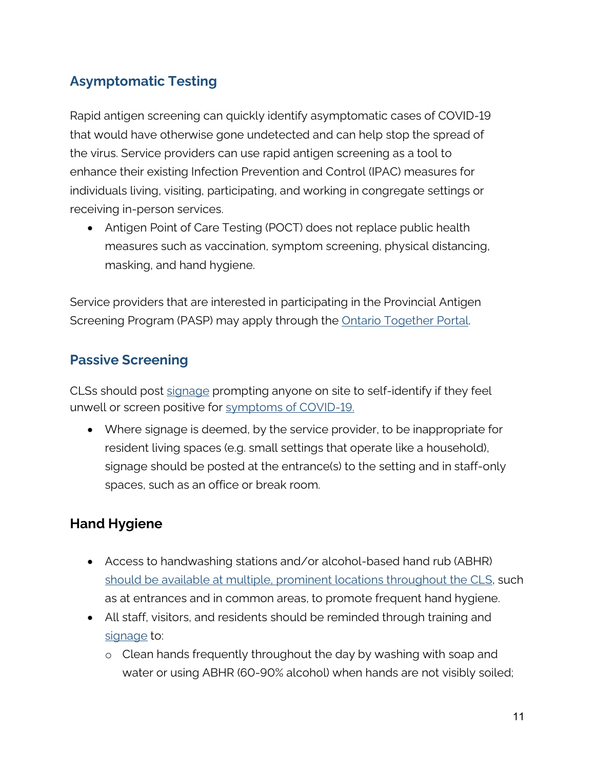# **Asymptomatic Testing**

Rapid antigen screening can quickly identify asymptomatic cases of COVID-19 that would have otherwise gone undetected and can help stop the spread of the virus. Service providers can use rapid antigen screening as a tool to enhance their existing Infection Prevention and Control (IPAC) measures for individuals living, visiting, participating, and working in congregate settings or receiving in-person services.

• Antigen Point of Care Testing (POCT) does not replace public health measures such as vaccination, symptom screening, physical distancing, masking, and hand hygiene.

Service providers that are interested in participating in the Provincial Antigen Screening Program (PASP) may apply through the **Ontario Together Portal**.

### **Passive Screening**

CLSs should post [signage](http://www.health.gov.on.ca/en/pro/programs/publichealth/coronavirus/2019_guidance.aspx) prompting anyone on site to self-identify if they feel unwell or screen positive for [symptoms](http://www.health.gov.on.ca/en/pro/programs/publichealth/coronavirus/docs/2019_reference_doc_symptoms.pdf) of COVID-19.

• Where signage is deemed, by the service provider, to be inappropriate for resident living spaces (e.g. small settings that operate like a household), signage should be posted at the entrance(s) to the setting and in staff-only spaces, such as an office or break room.

## <span id="page-10-0"></span>**Hand Hygiene**

- Access to handwashing stations and/or alcohol-based hand rub (ABHR) should be available at multiple, prominent locations throughout the CLS, such as at entrances and in common areas, to promote frequent hand hygiene.
- All staff, visitors, and residents should be reminded through training and [signage](https://www.publichealthontario.ca/-/media/documents/ncov/factsheet/factsheet-covid-19-hand-hygiene.pdf?sc_lang=en) to:
	- o Clean hands frequently throughout the day by washing with soap and water or using ABHR (60-90% alcohol) when hands are not visibly soiled;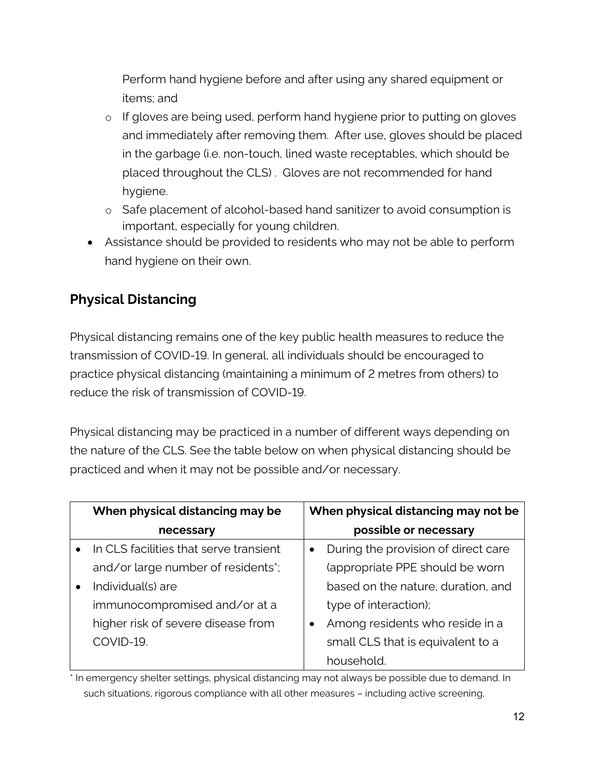Perform hand hygiene before and after using any shared equipment or items; and

- o If gloves are being used, perform hand hygiene prior to putting on gloves and immediately after removing them. After use, gloves should be placed in the garbage (i.e. non-touch, lined waste receptables, which should be placed throughout the CLS) . Gloves are not recommended for hand hygiene.
- o Safe placement of alcohol-based hand sanitizer to avoid consumption is important, especially for young children.
- Assistance should be provided to residents who may not be able to perform hand hygiene on their own.

# <span id="page-11-0"></span>**Physical Distancing**

Physical distancing remains one of the key public health measures to reduce the transmission of COVID-19. In general, all individuals should be encouraged to practice physical distancing (maintaining a minimum of 2 metres from others) to reduce the risk of transmission of COVID-19.

Physical distancing may be practiced in a number of different ways depending on the nature of the CLS. See the table below on when physical distancing should be practiced and when it may not be possible and/or necessary.

| When physical distancing may be        |           | When physical distancing may not be |
|----------------------------------------|-----------|-------------------------------------|
| necessary                              |           | possible or necessary               |
| In CLS facilities that serve transient | $\bullet$ | During the provision of direct care |
| and/or large number of residents*;     |           | (appropriate PPE should be worn     |
| Individual(s) are                      |           | based on the nature, duration, and  |
| immunocompromised and/or at a          |           | type of interaction);               |
| higher risk of severe disease from     | $\bullet$ | Among residents who reside in a     |
| COVID-19.                              |           | small CLS that is equivalent to a   |
|                                        |           | household.                          |

\* In emergency shelter settings, physical distancing may not always be possible due to demand. In such situations, rigorous compliance with all other measures – including active screening,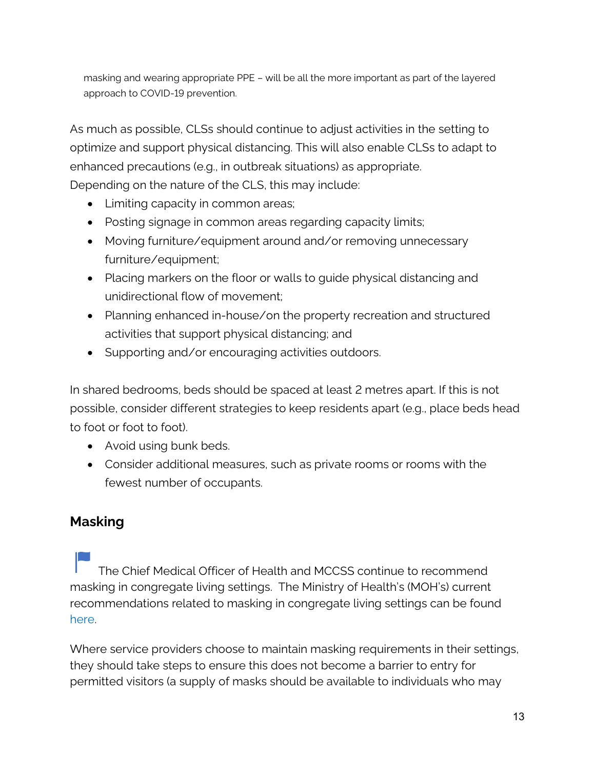masking and wearing appropriate PPE – will be all the more important as part of the layered approach to COVID-19 prevention.

As much as possible, CLSs should continue to adjust activities in the setting to optimize and support physical distancing. This will also enable CLSs to adapt to enhanced precautions (e.g., in outbreak situations) as appropriate. Depending on the nature of the CLS, this may include:

- Limiting capacity in common areas;
- Posting signage in common areas regarding capacity limits;
- Moving furniture/equipment around and/or removing unnecessary furniture/equipment;
- Placing markers on the floor or walls to guide physical distancing and unidirectional flow of movement;
- Planning enhanced in-house/on the property recreation and structured activities that support physical distancing; and
- Supporting and/or encouraging activities outdoors.

In shared bedrooms, beds should be spaced at least 2 metres apart. If this is not possible, consider different strategies to keep residents apart (e.g., place beds head to foot or foot to foot).

- Avoid using bunk beds.
- Consider additional measures, such as private rooms or rooms with the fewest number of occupants.

## <span id="page-12-0"></span>**Masking**

The Chief Medical Officer of Health and MCCSS continue to recommend masking in congregate living settings. The Ministry of Health's (MOH's) current recommendations related to masking in congregate living settings can be found [here.](https://www.health.gov.on.ca/en/pro/programs/publichealth/coronavirus/docs/2019_congregate_living_guidance.pdf) 

Where service providers choose to maintain masking requirements in their settings, they should take steps to ensure this does not become a barrier to entry for permitted visitors (a supply of masks should be available to individuals who may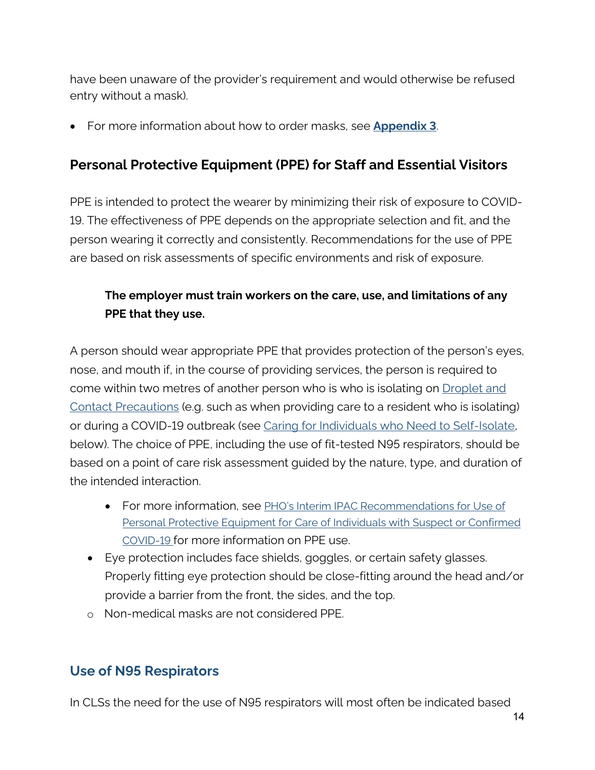have been unaware of the provider's requirement and would otherwise be refused entry without a mask).

• For more information about how to order masks, see **[Appendix 3](#page-34-0)**.

### <span id="page-13-0"></span>**Personal Protective Equipment (PPE) for Staff and Essential Visitors**

PPE is intended to protect the wearer by minimizing their risk of exposure to COVID-19. The effectiveness of PPE depends on the appropriate selection and fit, and the person wearing it correctly and consistently. Recommendations for the use of PPE are based on risk assessments of specific environments and risk of exposure.

### **The employer must train workers on the care, use, and limitations of any PPE that they use.**

A person should wear appropriate PPE that provides protection of the person's eyes, nose, and mouth if, in the course of providing services, the person is required to come within two metres of another person who is who is isolating on [Droplet and](https://www.publichealthontario.ca/-/media/documents/ncov/ipac/ipac-additional-precautions-non-acute-care.pdf?la=en)  [Contact Precautions](https://www.publichealthontario.ca/-/media/documents/ncov/ipac/ipac-additional-precautions-non-acute-care.pdf?la=en) (e.g. such as when providing care to a resident who is isolating) or during a COVID-19 outbreak (see [Caring for Individuals who Need to Self-Isolate,](#page-23-0) below). The choice of PPE, including the use of fit-tested N95 respirators, should be based on a point of care risk assessment guided by the nature, type, and duration of the intended interaction.

- For more information, see [PHO's Interim IPAC Recommendations for Use of](https://www.publichealthontario.ca/-/media/documents/ncov/updated-ipac-measures-covid-19.pdf?la=en)  [Personal Protective Equipment for Care of Individuals with Suspect or Confirmed](https://www.publichealthontario.ca/-/media/documents/ncov/updated-ipac-measures-covid-19.pdf?la=en)  [COVID-19 for](https://www.publichealthontario.ca/-/media/documents/ncov/updated-ipac-measures-covid-19.pdf?la=en) more information on PPE use.
- Eye protection includes face shields, goggles, or certain safety glasses. Properly fitting eye protection should be close-fitting around the head and/or provide a barrier from the front, the sides, and the top.
- o Non-medical masks are not considered PPE.

#### **Use of N95 Respirators**

In CLSs the need for the use of N95 respirators will most often be indicated based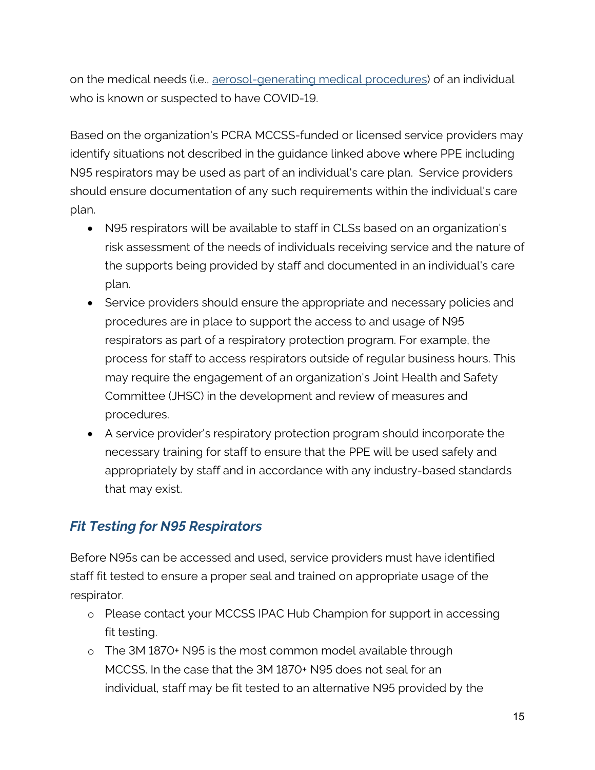on the medical needs (i.e., [aerosol-generating medical procedures\)](https://www.publichealthontario.ca/-/media/documents/ncov/updated-ipac-measures-covid-19.pdf?la=en) of an individual who is known or suspected to have COVID-19.

Based on the organization's PCRA MCCSS-funded or licensed service providers may identify situations not described in the guidance linked above where PPE including N95 respirators may be used as part of an individual's care plan. Service providers should ensure documentation of any such requirements within the individual's care plan.

- N95 respirators will be available to staff in CLSs based on an organization's risk assessment of the needs of individuals receiving service and the nature of the supports being provided by staff and documented in an individual's care plan.
- Service providers should ensure the appropriate and necessary policies and procedures are in place to support the access to and usage of N95 respirators as part of a respiratory protection program. For example, the process for staff to access respirators outside of regular business hours. This may require the engagement of an organization's Joint Health and Safety Committee (JHSC) in the development and review of measures and procedures.
- A service provider's respiratory protection program should incorporate the necessary training for staff to ensure that the PPE will be used safely and appropriately by staff and in accordance with any industry-based standards that may exist.

## *Fit Testing for N95 Respirators*

Before N95s can be accessed and used, service providers must have identified staff fit tested to ensure a proper seal and trained on appropriate usage of the respirator.

- o Please contact your MCCSS IPAC Hub Champion for support in accessing fit testing.
- o The 3M 1870+ N95 is the most common model available through MCCSS. In the case that the 3M 1870+ N95 does not seal for an individual, staff may be fit tested to an alternative N95 provided by the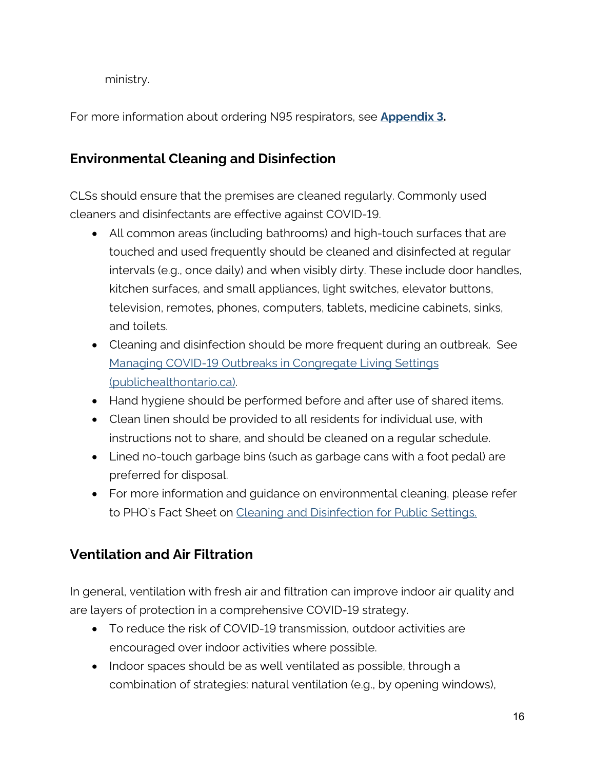ministry.

<span id="page-15-0"></span>For more information about ordering N95 respirators, see **[Appendix 3.](#page-34-0)**

### **Environmental Cleaning and Disinfection**

CLSs should ensure that the premises are cleaned regularly. Commonly used cleaners and disinfectants are effective against COVID-19.

- All common areas (including bathrooms) and high-touch surfaces that are touched and used frequently should be cleaned and disinfected at regular intervals (e.g., once daily) and when visibly dirty. These include door handles, kitchen surfaces, and small appliances, light switches, elevator buttons, television, remotes, phones, computers, tablets, medicine cabinets, sinks, and toilets.
- Cleaning and disinfection should be more frequent during an outbreak. See [Managing COVID-19 Outbreaks in Congregate Living Settings](https://www.publichealthontario.ca/-/media/documents/ncov/cong/2020/05/managing-covid-19-outbreaks-congregate-living-settings.pdf?la=en)  [\(publichealthontario.ca\).](https://www.publichealthontario.ca/-/media/documents/ncov/cong/2020/05/managing-covid-19-outbreaks-congregate-living-settings.pdf?la=en)
- Hand hygiene should be performed before and after use of shared items.
- Clean linen should be provided to all residents for individual use, with instructions not to share, and should be cleaned on a regular schedule.
- Lined no-touch garbage bins (such as garbage cans with a foot pedal) are preferred for disposal.
- For more information and guidance on environmental cleaning, please refer to PHO's Fact Sheet on [Cleaning and Disinfection for Public Settings.](https://www.publichealthontario.ca/-/media/documents/ncov/factsheet-covid-19-environmental-cleaning.pdf?la=en)

## <span id="page-15-1"></span>**Ventilation and Air Filtration**

In general, ventilation with fresh air and filtration can improve indoor air quality and are layers of protection in a comprehensive COVID-19 strategy.

- To reduce the risk of COVID-19 transmission, outdoor activities are encouraged over indoor activities where possible.
- Indoor spaces should be as well ventilated as possible, through a combination of strategies: natural ventilation (e.g., by opening windows),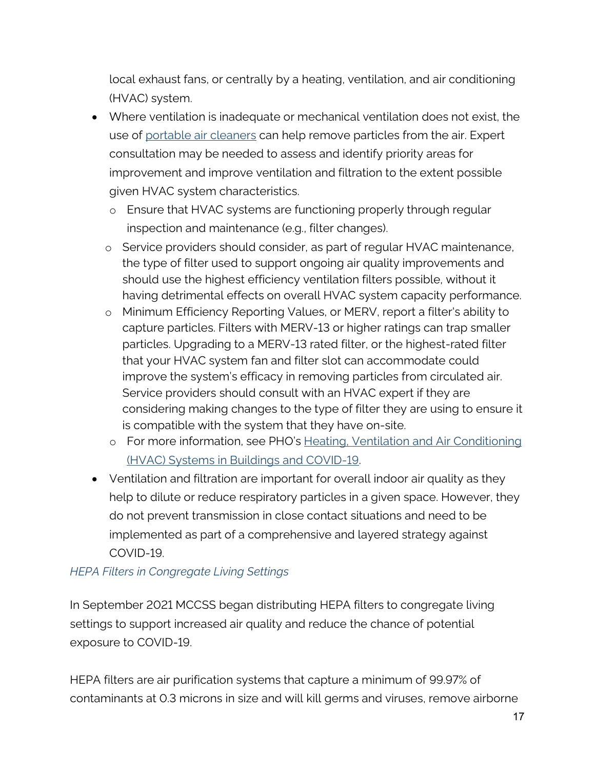local exhaust fans, or centrally by a heating, ventilation, and air conditioning (HVAC) system.

- Where ventilation is inadequate or mechanical ventilation does not exist, the use of [portable air cleaners](https://www.publichealthontario.ca/-/media/documents/ncov/ipac/2021/01/faq-covid-19-portable-air-cleaners.pdf?la=en) can help remove particles from the air. Expert consultation may be needed to assess and identify priority areas for improvement and improve ventilation and filtration to the extent possible given HVAC system characteristics.
	- o Ensure that HVAC systems are functioning properly through regular inspection and maintenance (e.g., filter changes).
	- o Service providers should consider, as part of regular HVAC maintenance, the type of filter used to support ongoing air quality improvements and should use the highest efficiency ventilation filters possible, without it having detrimental effects on overall HVAC system capacity performance.
	- o Minimum Efficiency Reporting Values, or MERV, report a filter's ability to capture particles. Filters with MERV-13 or higher ratings can trap smaller particles. Upgrading to a MERV-13 rated filter, or the highest-rated filter that your HVAC system fan and filter slot can accommodate could improve the system's efficacy in removing particles from circulated air. Service providers should consult with an HVAC expert if they are considering making changes to the type of filter they are using to ensure it is compatible with the system that they have on-site.
	- o For more information, see PHO's [Heating, Ventilation and Air Conditioning](https://www.publichealthontario.ca/-/media/documents/ncov/ipac/2020/09/covid-19-hvac-systems-in-buildings.pdf?la=en)  [\(HVAC\) Systems in Buildings and COVID-19.](https://www.publichealthontario.ca/-/media/documents/ncov/ipac/2020/09/covid-19-hvac-systems-in-buildings.pdf?la=en)
- Ventilation and filtration are important for overall indoor air quality as they help to dilute or reduce respiratory particles in a given space. However, they do not prevent transmission in close contact situations and need to be implemented as part of a comprehensive and layered strategy against COVID-19.

#### *HEPA Filters in Congregate Living Settings*

In September 2021 MCCSS began distributing HEPA filters to congregate living settings to support increased air quality and reduce the chance of potential exposure to COVID-19.

HEPA filters are air purification systems that capture a minimum of 99.97% of contaminants at 0.3 microns in size and will kill germs and viruses, remove airborne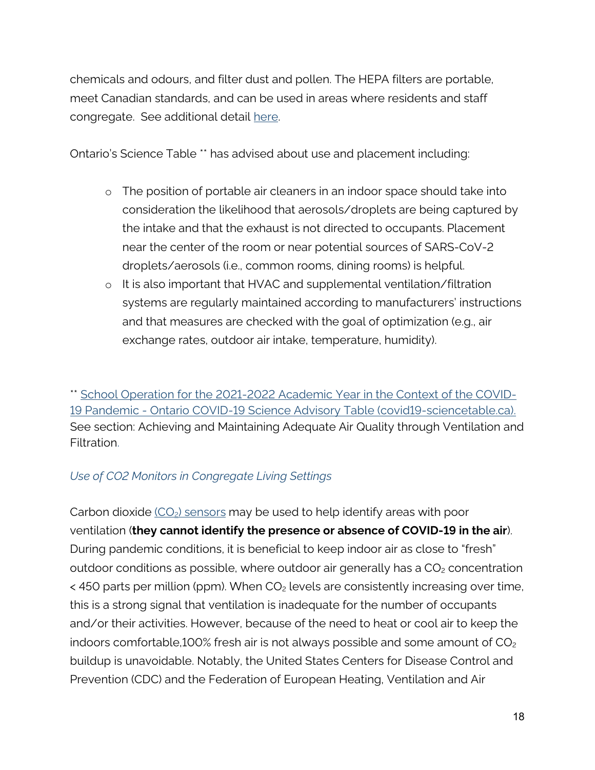chemicals and odours, and filter dust and pollen. The HEPA filters are portable, meet Canadian standards, and can be used in areas where residents and staff congregate. See additional detail [here.](https://www.publichealthontario.ca/-/media/documents/ncov/ipac/2021/01/faq-covid-19-portable-air-cleaners.pdf?la=en) 

Ontario's Science Table \*\* has advised about use and placement including:

- o The position of portable air cleaners in an indoor space should take into consideration the likelihood that aerosols/droplets are being captured by the intake and that the exhaust is not directed to occupants. Placement near the center of the room or near potential sources of SARS-CoV-2 droplets/aerosols (i.e., common rooms, dining rooms) is helpful.
- o It is also important that HVAC and supplemental ventilation/filtration systems are regularly maintained according to manufacturers' instructions and that measures are checked with the goal of optimization (e.g., air exchange rates, outdoor air intake, temperature, humidity).

\*\* [School Operation for the 2021-2022 Academic Year in the Context of the COVID-](https://covid19-sciencetable.ca/sciencebrief/school-operation-for-the-2021-2022-academic-year-in-the-context-of-the-covid-19-pandemic/)[19 Pandemic - Ontario COVID-19 Science Advisory Table \(covid19-sciencetable.ca\).](https://covid19-sciencetable.ca/sciencebrief/school-operation-for-the-2021-2022-academic-year-in-the-context-of-the-covid-19-pandemic/) See section: Achieving and Maintaining Adequate Air Quality through Ventilation and Filtration.

#### *Use of CO2 Monitors in Congregate Living Settings*

Carbon dioxide  $(CO_2)$  sensors may be used to help identify areas with poor ventilation (**they cannot identify the presence or absence of COVID-19 in the air**). During pandemic conditions, it is beneficial to keep indoor air as close to "fresh" outdoor conditions as possible, where outdoor air generally has a  $CO<sub>2</sub>$  concentration  $\lt$  450 parts per million (ppm). When CO<sub>2</sub> levels are consistently increasing over time, this is a strong signal that ventilation is inadequate for the number of occupants and/or their activities. However, because of the need to heat or cool air to keep the indoors comfortable,100% fresh air is not always possible and some amount of  $CO<sub>2</sub>$ buildup is unavoidable. Notably, the United States Centers for Disease Control and Prevention (CDC) and the Federation of European Heating, Ventilation and Air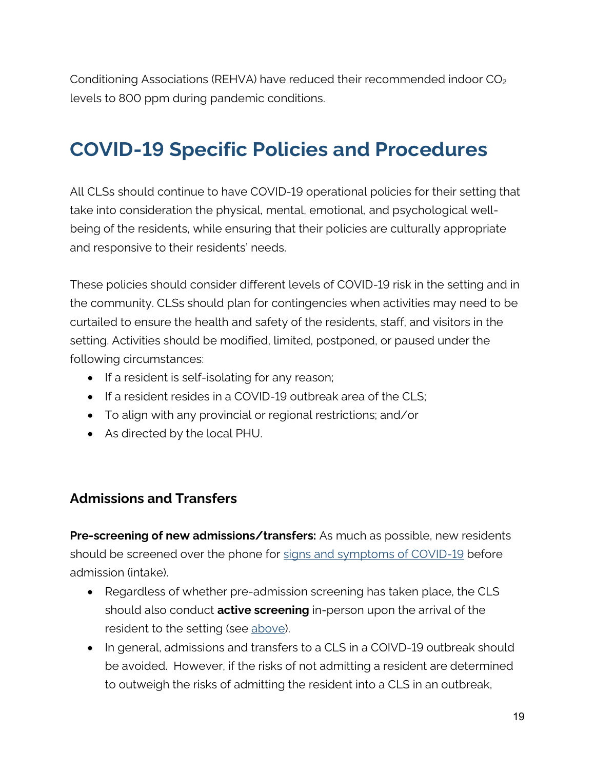Conditioning Associations (REHVA) have reduced their recommended indoor CO<sub>2</sub> levels to 800 ppm during pandemic conditions.

# <span id="page-18-0"></span>**COVID-19 Specific Policies and Procedures**

All CLSs should continue to have COVID-19 operational policies for their setting that take into consideration the physical, mental, emotional, and psychological wellbeing of the residents, while ensuring that their policies are culturally appropriate and responsive to their residents' needs.

These policies should consider different levels of COVID-19 risk in the setting and in the community. CLSs should plan for contingencies when activities may need to be curtailed to ensure the health and safety of the residents, staff, and visitors in the setting. Activities should be modified, limited, postponed, or paused under the following circumstances:

- If a resident is self-isolating for any reason;
- If a resident resides in a COVID-19 outbreak area of the CLS;
- To align with any provincial or regional restrictions; and/or
- As directed by the local PHU.

#### <span id="page-18-1"></span>**Admissions and Transfers**

**Pre-screening of new admissions/transfers:** As much as possible, new residents should be screened over the phone for [signs and symptoms of COVID-19](http://www.health.gov.on.ca/en/pro/programs/publichealth/coronavirus/docs/2019_reference_doc_symptoms.pdf) before admission (intake).

- Regardless of whether pre-admission screening has taken place, the CLS should also conduct **active screening** in-person upon the arrival of the resident to the setting (see above).
- In general, admissions and transfers to a CLS in a COIVD-19 outbreak should be avoided. However, if the risks of not admitting a resident are determined to outweigh the risks of admitting the resident into a CLS in an outbreak,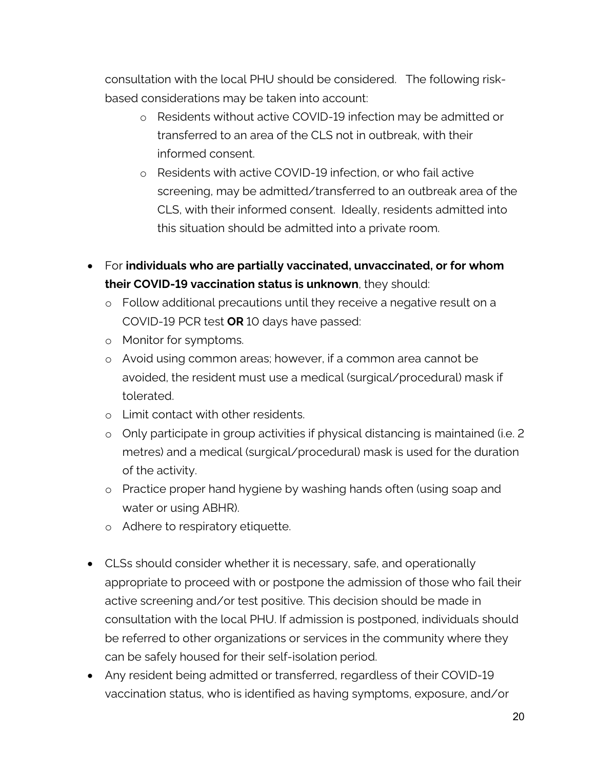consultation with the local PHU should be considered. The following riskbased considerations may be taken into account:

- o Residents without active COVID-19 infection may be admitted or transferred to an area of the CLS not in outbreak, with their informed consent.
- o Residents with active COVID-19 infection, or who fail active screening, may be admitted/transferred to an outbreak area of the CLS, with their informed consent. Ideally, residents admitted into this situation should be admitted into a private room.
- For **individuals who are partially vaccinated, unvaccinated, or for whom their COVID-19 vaccination status is unknown**, they should:
	- o Follow additional precautions until they receive a negative result on a COVID-19 PCR test **OR** 10 days have passed:
	- o Monitor for symptoms.
	- o Avoid using common areas; however, if a common area cannot be avoided, the resident must use a medical (surgical/procedural) mask if tolerated.
	- o Limit contact with other residents.
	- o Only participate in group activities if physical distancing is maintained (i.e. 2 metres) and a medical (surgical/procedural) mask is used for the duration of the activity.
	- o Practice proper hand hygiene by washing hands often (using soap and water or using ABHR).
	- o Adhere to respiratory etiquette.
- CLSs should consider whether it is necessary, safe, and operationally appropriate to proceed with or postpone the admission of those who fail their active screening and/or test positive. This decision should be made in consultation with the local PHU. If admission is postponed, individuals should be referred to other organizations or services in the community where they can be safely housed for their self-isolation period.
- Any resident being admitted or transferred, regardless of their COVID-19 vaccination status, who is identified as having symptoms, exposure, and/or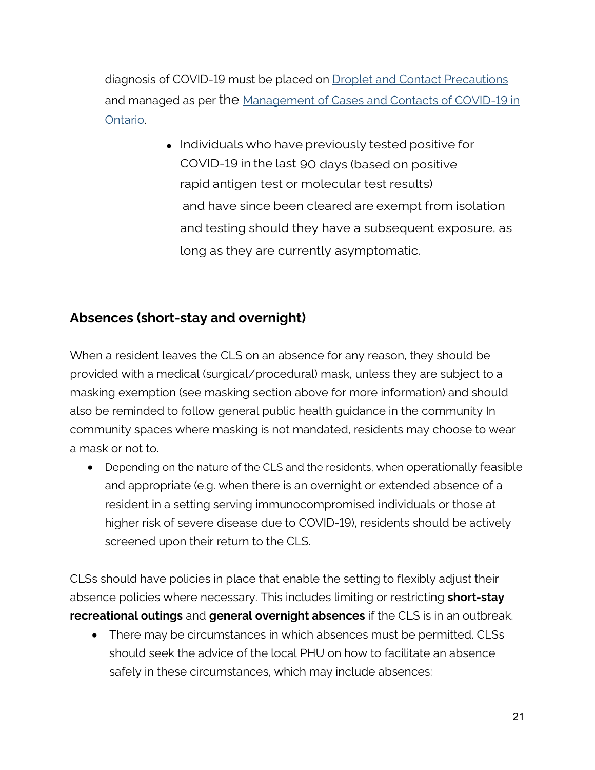diagnosis of COVID-19 must be placed on [Droplet and Contact Precautions](https://www.publichealthontario.ca/-/media/documents/ncov/ipac/ipac-additional-precautions-non-acute-care.pdf?la=en) and managed as per the Management of Cases and Contacts of COVID-19 in [Ontario.](https://www.health.gov.on.ca/en/pro/programs/publichealth/coronavirus/docs/contact_mngmt/management_cases_contacts_omicron.pdf)

> • Individuals who have previously tested positive for COVID-19 in the last 90 days (based on positive rapid antigen test or molecular test results) and have since been cleared are exempt from isolation and testing should they have a subsequent exposure, as long as they are currently asymptomatic.

### <span id="page-20-0"></span>**Absences (short-stay and overnight)**

When a resident leaves the CLS on an absence for any reason, they should be provided with a medical (surgical/procedural) mask, unless they are subject to a masking exemption (see masking section above for more information) and should also be reminded to follow general public health guidance in the community In community spaces where masking is not mandated, residents may choose to wear a mask or not to.

• Depending on the nature of the CLS and the residents, when operationally feasible and appropriate (e.g. when there is an overnight or extended absence of a resident in a setting serving immunocompromised individuals or those at higher risk of severe disease due to COVID-19), residents should be actively screened upon their return to the CLS.

CLSs should have policies in place that enable the setting to flexibly adjust their absence policies where necessary. This includes limiting or restricting **short-stay recreational outings** and **general overnight absences** if the CLS is in an outbreak.

• There may be circumstances in which absences must be permitted. CLSs should seek the advice of the local PHU on how to facilitate an absence safely in these circumstances, which may include absences: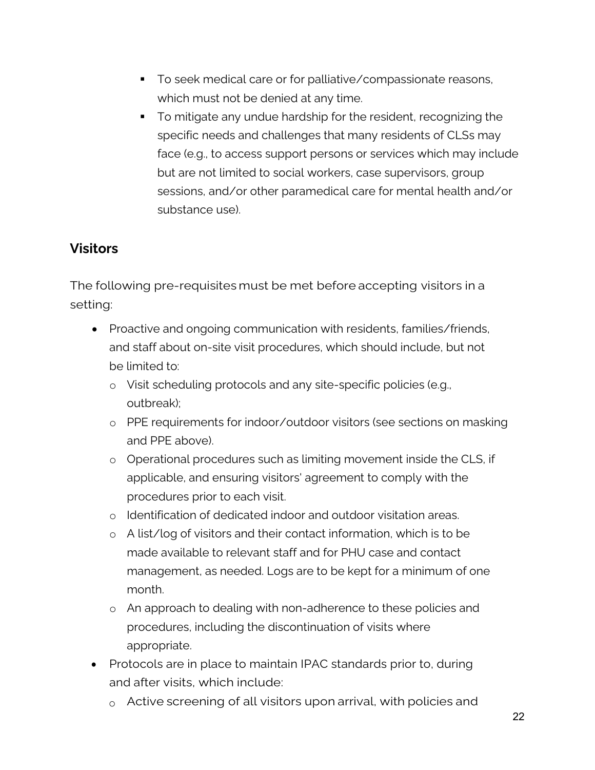- To seek medical care or for palliative/compassionate reasons, which must not be denied at any time.
- To mitigate any undue hardship for the resident, recognizing the specific needs and challenges that many residents of CLSs may face (e.g., to access support persons or services which may include but are not limited to social workers, case supervisors, group sessions, and/or other paramedical care for mental health and/or substance use).

### <span id="page-21-0"></span>**Visitors**

The following pre-requisites must be met before accepting visitors in a setting:

- Proactive and ongoing communication with residents, families/friends, and staff about on-site visit procedures, which should include, but not be limited to:
	- o Visit scheduling protocols and any site-specific policies (e.g., outbreak);
	- o PPE requirements for indoor/outdoor visitors (see sections on masking and PPE above).
	- o Operational procedures such as limiting movement inside the CLS, if applicable, and ensuring visitors' agreement to comply with the procedures prior to each visit.
	- o Identification of dedicated indoor and outdoor visitation areas.
	- o A list/log of visitors and their contact information, which is to be made available to relevant staff and for PHU case and contact management, as needed. Logs are to be kept for a minimum of one month.
	- o An approach to dealing with non-adherence to these policies and procedures, including the discontinuation of visits where appropriate.
- Protocols are in place to maintain IPAC standards prior to, during and after visits, which include:
	- $\circ$  Active screening of all visitors upon arrival, with policies and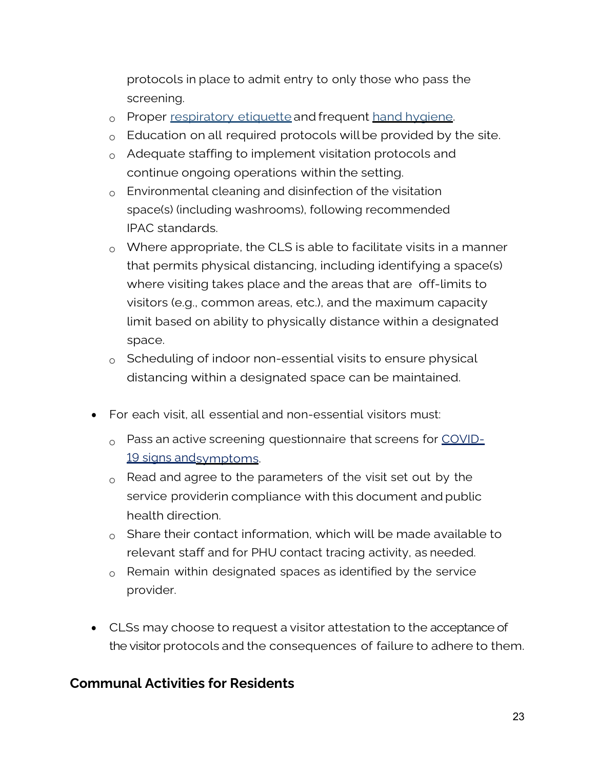protocols in place to admit entry to only those who pass the screening.

- o Proper [respiratory](https://www.publichealthontario.ca/-/media/documents/c/2013/clincial-office-cough-signage.pdf?la=en) etiquette and frequent hand [hygiene.](https://www.publichealthontario.ca/-/media/documents/J/2009/jcyh-handwash.pdf)
- $\circ$  Education on all required protocols will be provided by the site.
- o Adequate staffing to implement visitation protocols and continue ongoing operations within the setting.
- o Environmental cleaning and disinfection of the visitation space(s) (including washrooms), following recommended IPAC standards.
- $\circ$  Where appropriate, the CLS is able to facilitate visits in a manner that permits physical distancing, including identifying a space(s) where visiting takes place and the areas that are off-limits to visitors (e.g., common areas, etc.), and the maximum capacity limit based on ability to physically distance within a designated space.
- $\circ$  Scheduling of indoor non-essential visits to ensure physical distancing within a designated space can be maintained.
- For each visit, all essential and non-essential visitors must:
	- $\alpha$  Pass an active screening questionnaire that screens for [COVID-](https://covid-19.ontario.ca/download-covid-19-screenings#worker-and-employee-screening)19 signs and symptoms.
	- $_{\circ}$  Read and agree to the parameters of the visit set out by the service providerin compliance with this document and public health direction.
	- $\circ$  Share their contact information, which will be made available to relevant staff and for PHU contact tracing activity, as needed.
	- $\circ$  Remain within designated spaces as identified by the service provider.
- CLSs may choose to request a visitor attestation to the acceptance of the visitor protocols and the consequences of failure to adhere to them.

#### <span id="page-22-0"></span>**Communal Activities for Residents**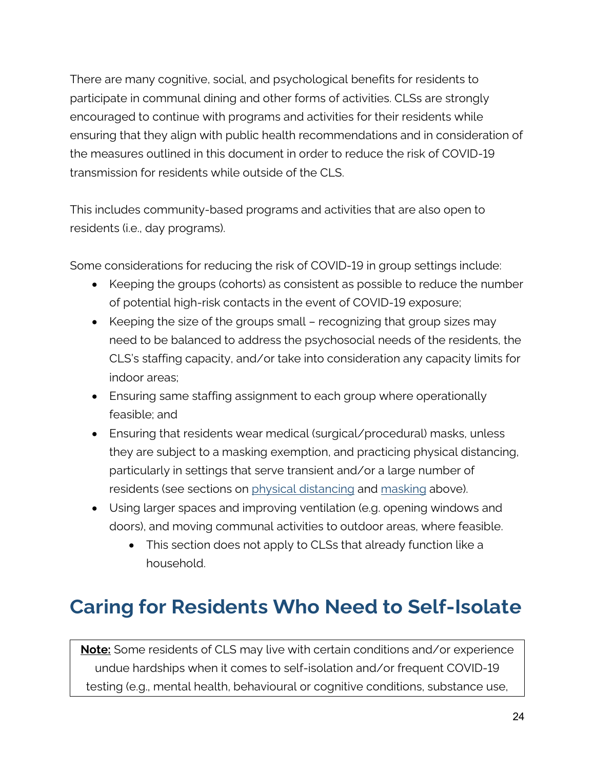There are many cognitive, social, and psychological benefits for residents to participate in communal dining and other forms of activities. CLSs are strongly encouraged to continue with programs and activities for their residents while ensuring that they align with public health recommendations and in consideration of the measures outlined in this document in order to reduce the risk of COVID-19 transmission for residents while outside of the CLS.

This includes community-based programs and activities that are also open to residents (i.e., day programs).

Some considerations for reducing the risk of COVID-19 in group settings include:

- Keeping the groups (cohorts) as consistent as possible to reduce the number of potential high-risk contacts in the event of COVID-19 exposure;
- Keeping the size of the groups small recognizing that group sizes may need to be balanced to address the psychosocial needs of the residents, the CLS's staffing capacity, and/or take into consideration any capacity limits for indoor areas;
- Ensuring same staffing assignment to each group where operationally feasible; and
- Ensuring that residents wear medical (surgical/procedural) masks, unless they are subject to a masking exemption, and practicing physical distancing, particularly in settings that serve transient and/or a large number of residents (see sections on [physical distancing](#page-11-0) and [masking](#page-12-0) above).
- Using larger spaces and improving ventilation (e.g. opening windows and doors), and moving communal activities to outdoor areas, where feasible.
	- This section does not apply to CLSs that already function like a household.

# <span id="page-23-0"></span>**Caring for Residents Who Need to Self-Isolate**

**Note:** Some residents of CLS may live with certain conditions and/or experience undue hardships when it comes to self-isolation and/or frequent COVID-19 testing (e.g., mental health, behavioural or cognitive conditions, substance use,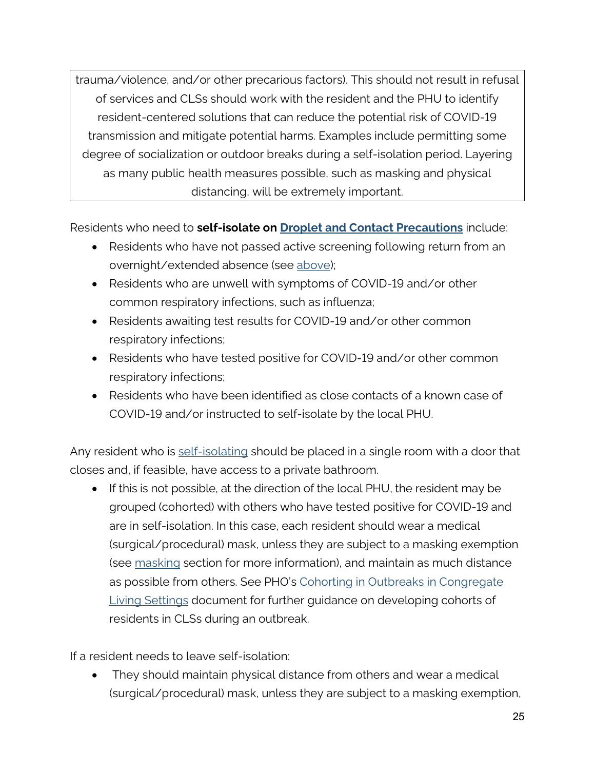trauma/violence, and/or other precarious factors). This should not result in refusal of services and CLSs should work with the resident and the PHU to identify resident-centered solutions that can reduce the potential risk of COVID-19 transmission and mitigate potential harms. Examples include permitting some degree of socialization or outdoor breaks during a self-isolation period. Layering as many public health measures possible, such as masking and physical distancing, will be extremely important.

Residents who need to **self-isolate on [Droplet and Contact Precautions](https://www.publichealthontario.ca/-/media/documents/ncov/ipac/ipac-additional-precautions-non-acute-care.pdf?la=en)** include:

- Residents who have not passed active screening following return from an overnight/extended absence (see [above\)](#page-7-1);
- Residents who are unwell with symptoms of COVID-19 and/or other common respiratory infections, such as influenza;
- Residents awaiting test results for COVID-19 and/or other common respiratory infections;
- Residents who have tested positive for COVID-19 and/or other common respiratory infections;
- Residents who have been identified as close contacts of a known case of COVID-19 and/or instructed to self-isolate by the local PHU.

Any resident who is [self-isolati](https://www.publichealthontario.ca/-/media/documents/ncov/factsheet-covid-19-how-to-self-isolate.pdf?la=en)ng should be placed in a single room with a door that closes and, if feasible, have access to a private bathroom.

• If this is not possible, at the direction of the local PHU, the resident may be grouped (cohorted) with others who have tested positive for COVID-19 and are in self-isolation. In this case, each resident should wear a medical (surgical/procedural) mask, unless they are subject to a masking exemption (see [masking](#page-12-0) section for more information), and maintain as much distance as possible from others. See PHO's [Cohorting in Outbreaks in Congregate](https://www.publichealthontario.ca/-/media/documents/ncov/cong/2020/06/focus-on-cohorting-outbreaks-congregate-living-settings.pdf?la=en)  [Living Settings](https://www.publichealthontario.ca/-/media/documents/ncov/cong/2020/06/focus-on-cohorting-outbreaks-congregate-living-settings.pdf?la=en) document for further guidance on developing cohorts of residents in CLSs during an outbreak.

If a resident needs to leave self-isolation:

• They should maintain physical distance from others and wear a medical (surgical/procedural) mask, unless they are subject to a masking exemption,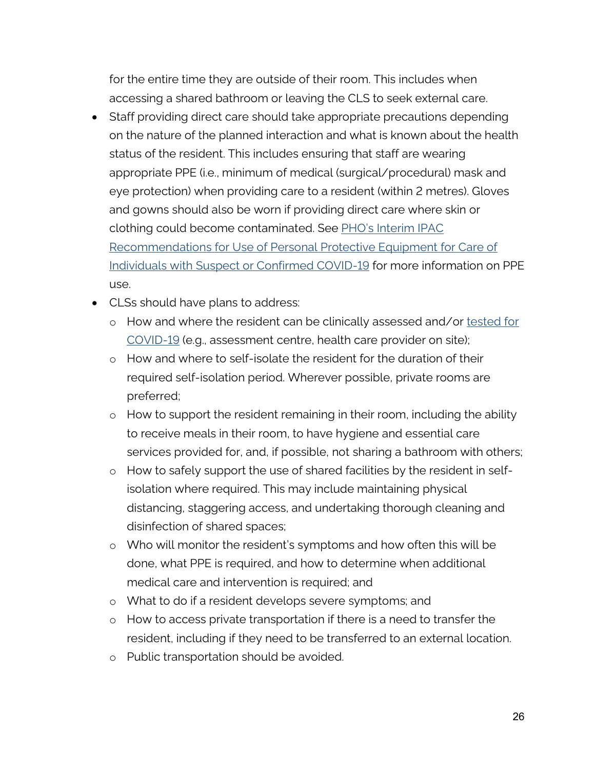for the entire time they are outside of their room. This includes when accessing a shared bathroom or leaving the CLS to seek external care.

- Staff providing direct care should take appropriate precautions depending on the nature of the planned interaction and what is known about the health status of the resident. This includes ensuring that staff are wearing appropriate PPE (i.e., minimum of medical (surgical/procedural) mask and eye protection) when providing care to a resident (within 2 metres). Gloves and gowns should also be worn if providing direct care where skin or clothing could become contaminated. See [PHO's Interim IPAC](https://www.publichealthontario.ca/-/media/documents/ncov/updated-ipac-measures-covid-19.pdf?la=en)  [Recommendations for Use of Personal Protective Equipment for Care of](https://www.publichealthontario.ca/-/media/documents/ncov/updated-ipac-measures-covid-19.pdf?la=en)  [Individuals with Suspect or Confirmed COVID-19](https://www.publichealthontario.ca/-/media/documents/ncov/updated-ipac-measures-covid-19.pdf?la=en) for more information on PPE use.
- CLSs should have plans to address:
	- o How and where the resident can be clinically assessed and/or [tested for](https://covid-19.ontario.ca/covid-19-test-and-testing-location-information)  [COVID-19](https://covid-19.ontario.ca/covid-19-test-and-testing-location-information) (e.g., assessment centre, health care provider on site);
	- o How and where to self-isolate the resident for the duration of their required self-isolation period. Wherever possible, private rooms are preferred;
	- o How to support the resident remaining in their room, including the ability to receive meals in their room, to have hygiene and essential care services provided for, and, if possible, not sharing a bathroom with others;
	- o How to safely support the use of shared facilities by the resident in selfisolation where required. This may include maintaining physical distancing, staggering access, and undertaking thorough cleaning and disinfection of shared spaces;
	- o Who will monitor the resident's symptoms and how often this will be done, what PPE is required, and how to determine when additional medical care and intervention is required; and
	- o What to do if a resident develops severe symptoms; and
	- o How to access private transportation if there is a need to transfer the resident, including if they need to be transferred to an external location.
	- o Public transportation should be avoided.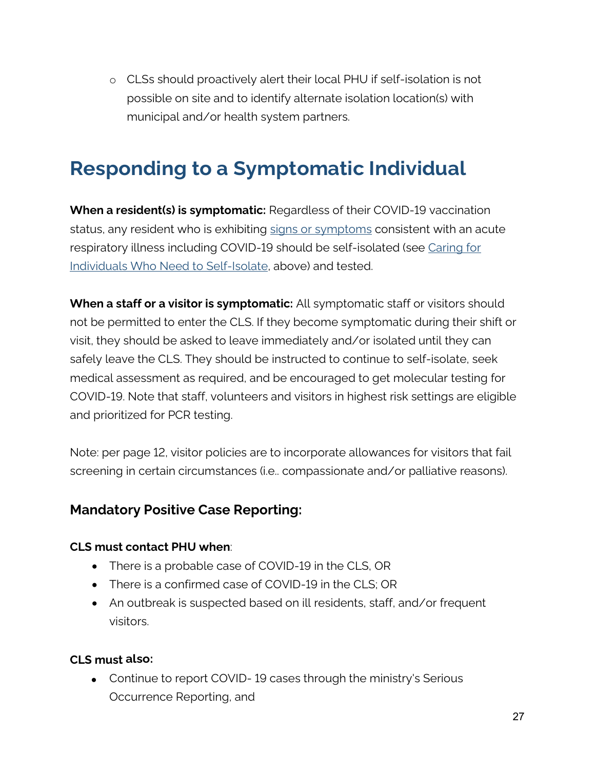o CLSs should proactively alert their local PHU if self-isolation is not possible on site and to identify alternate isolation location(s) with municipal and/or health system partners.

# <span id="page-26-0"></span>**Responding to a Symptomatic Individual**

**When a resident(s) is symptomatic:** Regardless of their COVID-19 vaccination status, any resident who is exhibiting [signs or symptoms](https://www.health.gov.on.ca/en/pro/programs/publichealth/coronavirus/docs/2019_reference_doc_symptoms.pdf) consistent with an acute respiratory illness including COVID-19 should be self-isolated (see [Caring for](#page-23-0)  [Individuals Who Need to Self-Isolate,](#page-23-0) above) and tested.

**When a staff or a visitor is symptomatic:** All symptomatic staff or visitors should not be permitted to enter the CLS. If they become symptomatic during their shift or visit, they should be asked to leave immediately and/or isolated until they can safely leave the CLS. They should be instructed to continue to self-isolate, seek medical assessment as required, and be encouraged to get molecular testing for COVID-19. Note that staff, volunteers and visitors in highest risk settings are eligible and prioritized for PCR testing.

Note: per page 12, visitor policies are to incorporate allowances for visitors that fail screening in certain circumstances (i.e.. compassionate and/or palliative reasons).

#### <span id="page-26-1"></span>**Mandatory Positive Case Reporting:**

#### **CLS must contact PHU when**:

- There is a probable case of COVID-19 in the CLS, OR
- There is a confirmed case of COVID-19 in the CLS; OR
- An outbreak is suspected based on ill residents, staff, and/or frequent visitors.

#### **CLS must also:**

• Continue to report COVID-19 cases through the ministry's Serious Occurrence Reporting, and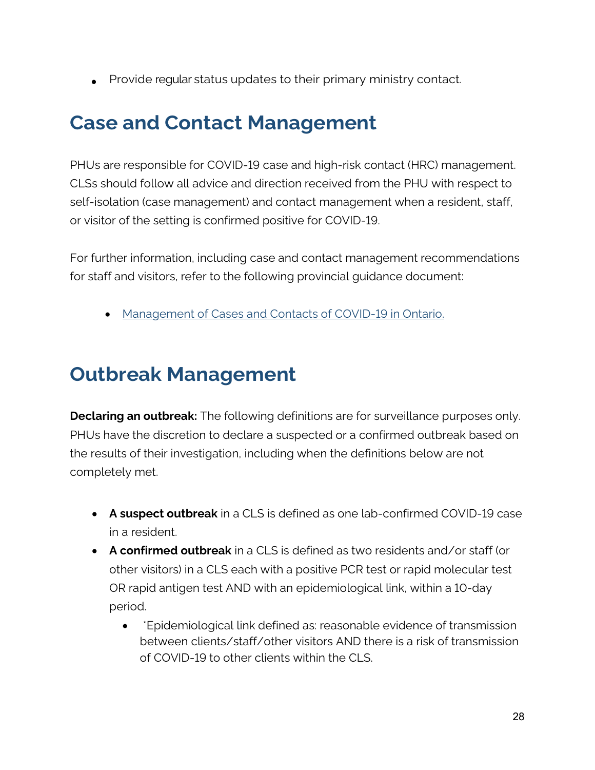• Provide regular status updates to their primary ministry contact.

# <span id="page-27-0"></span>**Case and Contact Management**

PHUs are responsible for COVID-19 case and high-risk contact (HRC) management. CLSs should follow all advice and direction received from the PHU with respect to self-isolation (case management) and contact management when a resident, staff, or visitor of the setting is confirmed positive for COVID-19.

For further information, including case and contact management recommendations for staff and visitors, refer to the following provincial guidance document:

• [Management of Cases and Contacts of COVID-19 in Ontario.](https://www.health.gov.on.ca/en/pro/programs/publichealth/coronavirus/docs/contact_mngmt/management_cases_contacts_omicron.pdf)

# <span id="page-27-1"></span>**Outbreak Management**

**Declaring an outbreak:** The following definitions are for surveillance purposes only. PHUs have the discretion to declare a suspected or a confirmed outbreak based on the results of their investigation, including when the definitions below are not completely met.

- **A suspect outbreak** in a CLS is defined as one lab-confirmed COVID-19 case in a resident.
- **A confirmed outbreak** in a CLS is defined as two residents and/or staff (or other visitors) in a CLS each with a positive PCR test or rapid molecular test OR rapid antigen test AND with an epidemiological link, within a 10-day period.
	- \*Epidemiological link defined as: reasonable evidence of transmission between clients/staff/other visitors AND there is a risk of transmission of COVID-19 to other clients within the CLS.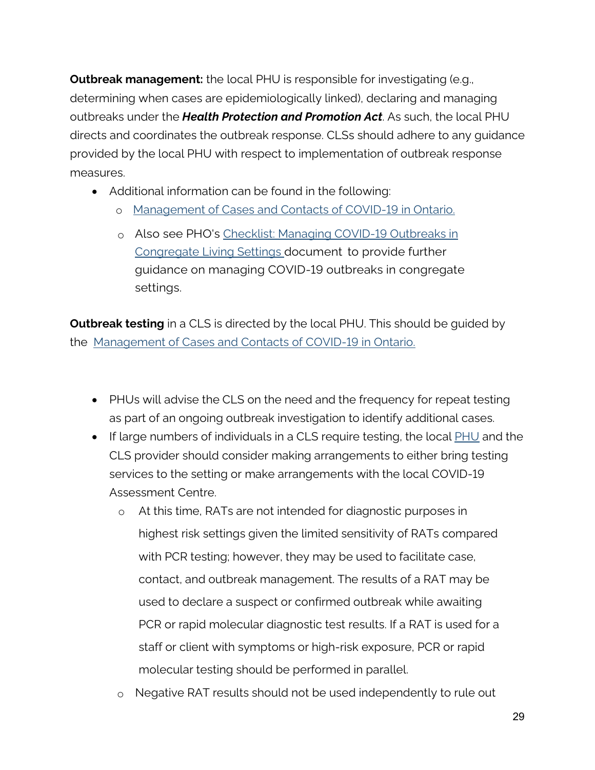**Outbreak management:** the local PHU is responsible for investigating (e.g., determining when cases are epidemiologically linked), declaring and managing outbreaks under the *Health Protection and Promotion Act*. As such, the local PHU directs and coordinates the outbreak response. CLSs should adhere to any guidance provided by the local PHU with respect to implementation of outbreak response measures.

- Additional information can be found in the following:
	- o Management [of Cases and Contacts of COVID-19 in Ontario.](https://www.health.gov.on.ca/en/pro/programs/publichealth/coronavirus/docs/contact_mngmt/management_cases_contacts_omicron.pdf)
	- o Also see PHO's [Checklist: Managing COVID-19 Outbreaks in](https://www.publichealthontario.ca/-/media/documents/ncov/cong/2020/05/managing-covid-19-outbreaks-congregate-living-settings.pdf?la=en)  [Congregate](https://www.publichealthontario.ca/-/media/documents/ncov/cong/2020/05/managing-covid-19-outbreaks-congregate-living-settings.pdf?la=en) [Living Settings d](https://www.publichealthontario.ca/-/media/documents/ncov/cong/2020/05/managing-covid-19-outbreaks-congregate-living-settings.pdf?la=en)ocument to provide further guidance on managing COVID-19 outbreaks in congregate settings.

**Outbreak testing** in a CLS is directed by the local PHU. This should be guided by the [Management of Cases and Contacts of COVID-19 in Ontario.](https://www.health.gov.on.ca/en/pro/programs/publichealth/coronavirus/docs/contact_mngmt/management_cases_contacts_omicron.pdf)

- PHUs will advise the CLS on the need and the frequency for repeat testing as part of an ongoing outbreak investigation to identify additional cases.
- If large numbers of individuals in a CLS require testing, the local  $PHU$  and the CLS provider should consider making arrangements to either bring testing services to the setting or make arrangements with the local COVID-19 Assessment Centre.
	- o At this time, RATs are not intended for diagnostic purposes in highest risk settings given the limited sensitivity of RATs compared with PCR testing; however, they may be used to facilitate case, contact, and outbreak management. The results of a RAT may be used to declare a suspect or confirmed outbreak while awaiting PCR or rapid molecular diagnostic test results. If a RAT is used for a staff or client with symptoms or high-risk exposure, PCR or rapid molecular testing should be performed in parallel.
	- o Negative RAT results should not be used independently to rule out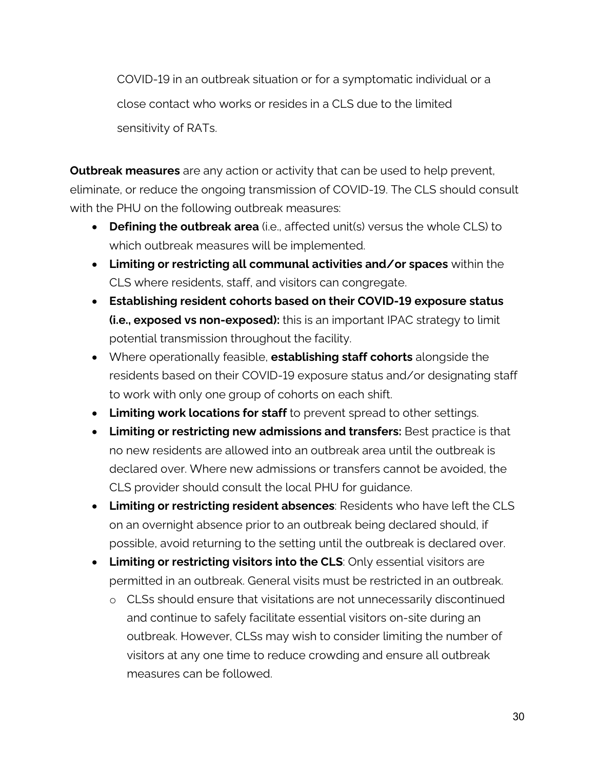COVID-19 in an outbreak situation or for a symptomatic individual or a close contact who works or resides in a CLS due to the limited sensitivity of RATs.

**Outbreak measures** are any action or activity that can be used to help prevent, eliminate, or reduce the ongoing transmission of COVID-19. The CLS should consult with the PHU on the following outbreak measures:

- **Defining the outbreak area** (i.e., affected unit(s) versus the whole CLS) to which outbreak measures will be implemented.
- **Limiting or restricting all communal activities and/or spaces** within the CLS where residents, staff, and visitors can congregate.
- **Establishing resident cohorts based on their COVID-19 exposure status (i.e., exposed vs non-exposed):** this is an important IPAC strategy to limit potential transmission throughout the facility.
- Where operationally feasible, **establishing staff cohorts** alongside the residents based on their COVID-19 exposure status and/or designating staff to work with only one group of cohorts on each shift.
- **Limiting work locations for staff** to prevent spread to other settings.
- **Limiting or restricting new admissions and transfers:** Best practice is that no new residents are allowed into an outbreak area until the outbreak is declared over. Where new admissions or transfers cannot be avoided, the CLS provider should consult the local PHU for guidance.
- **Limiting or restricting resident absences**: Residents who have left the CLS on an overnight absence prior to an outbreak being declared should, if possible, avoid returning to the setting until the outbreak is declared over.
- **Limiting or restricting visitors into the CLS**: Only essential visitors are permitted in an outbreak. General visits must be restricted in an outbreak.
	- o CLSs should ensure that visitations are not unnecessarily discontinued and continue to safely facilitate essential visitors on-site during an outbreak. However, CLSs may wish to consider limiting the number of visitors at any one time to reduce crowding and ensure all outbreak measures can be followed.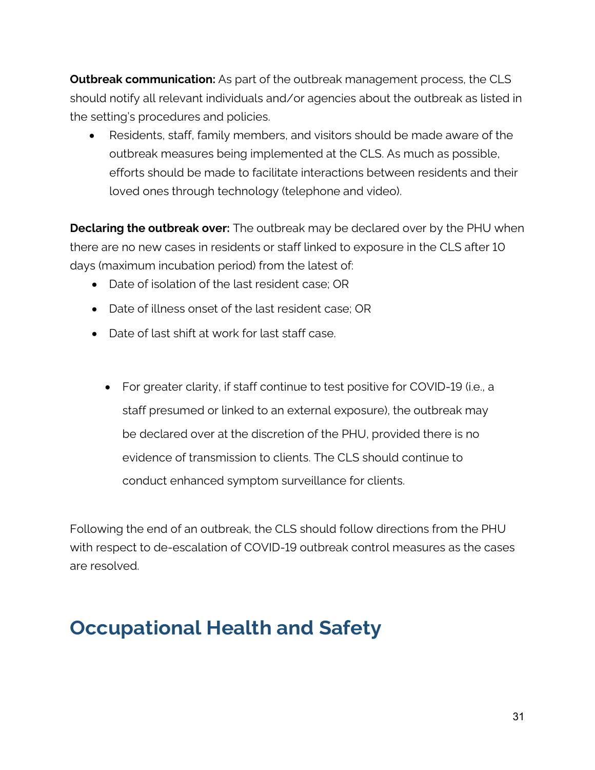**Outbreak communication:** As part of the outbreak management process, the CLS should notify all relevant individuals and/or agencies about the outbreak as listed in the setting's procedures and policies.

• Residents, staff, family members, and visitors should be made aware of the outbreak measures being implemented at the CLS. As much as possible, efforts should be made to facilitate interactions between residents and their loved ones through technology (telephone and video).

**Declaring the outbreak over:** The outbreak may be declared over by the PHU when there are no new cases in residents or staff linked to exposure in the CLS after 10 days (maximum incubation period) from the latest of:

- Date of isolation of the last resident case; OR
- Date of illness onset of the last resident case; OR
- Date of last shift at work for last staff case.
	- For greater clarity, if staff continue to test positive for COVID-19 (i.e., a staff presumed or linked to an external exposure), the outbreak may be declared over at the discretion of the PHU, provided there is no evidence of transmission to clients. The CLS should continue to conduct enhanced symptom surveillance for clients.

Following the end of an outbreak, the CLS should follow directions from the PHU with respect to de-escalation of COVID-19 outbreak control measures as the cases are resolved.

# <span id="page-30-0"></span>**Occupational Health and Safety**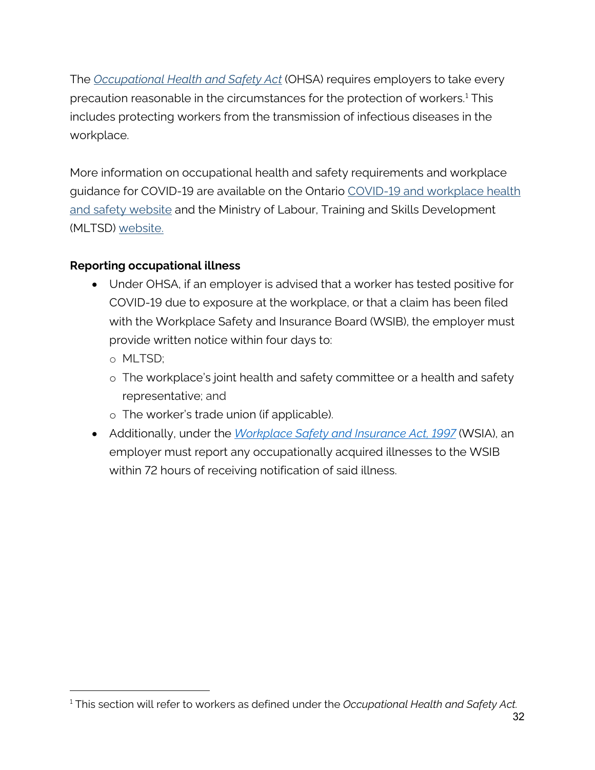The *[Occupational Health and Safety Act](https://www.ontario.ca/laws/statute/90o01?_ga=2.261143885.1197634669.1587061765-1497916968.1587061765)* (OHSA) requires employers to take every precaution reasonable in the circumstances for the protection of workers.[1](#page-31-1) This includes protecting workers from the transmission of infectious diseases in the workplace.

More information on occupational health and safety requirements and workplace guidance for COVID-19 are available on the Ontario [COVID-19 and workplace health](https://www.ontario.ca/page/covid-19-workplace-health-safety)  [and safety website](https://www.ontario.ca/page/covid-19-workplace-health-safety) and the Ministry of Labour, Training and Skills Development (MLTSD) [website.](https://www.ontario.ca/page/ministry-labour-training-skills-development)

#### **Reporting occupational illness**

- Under OHSA, if an employer is advised that a worker has tested positive for COVID-19 due to exposure at the workplace, or that a claim has been filed with the Workplace Safety and Insurance Board (WSIB), the employer must provide written notice within four days to:
	- o MLTSD;
	- o The workplace's joint health and safety committee or a health and safety representative; and
	- o The worker's trade union (if applicable).
- <span id="page-31-0"></span>• Additionally, under the *[Workplace Safety and Insurance Act, 1997](https://www.ontario.ca/laws/statute/97w16#BK23)* (WSIA), an employer must report any occupationally acquired illnesses to the WSIB within 72 hours of receiving notification of said illness.

<span id="page-31-1"></span><sup>1</sup> This section will refer to workers as defined under the *Occupational Health and Safety Act.*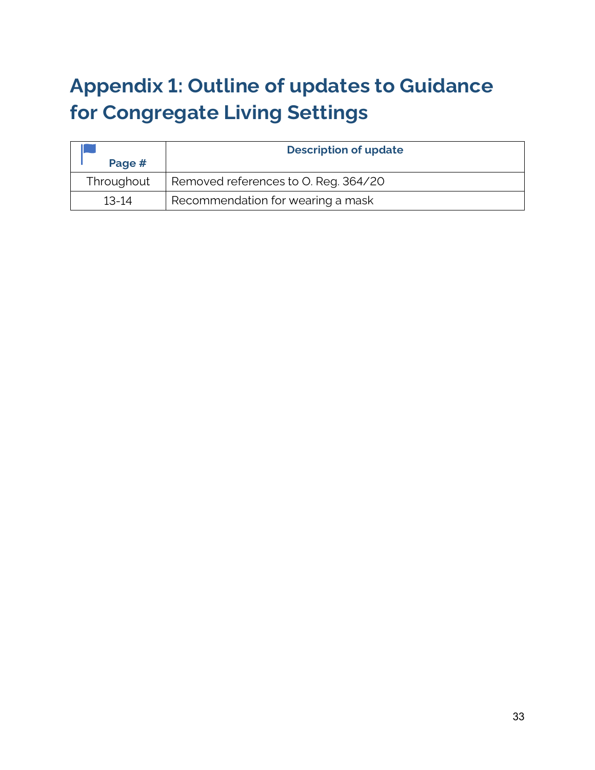# **Appendix 1: Outline of updates to Guidance for Congregate Living Settings**

| Page #     | <b>Description of update</b>         |  |
|------------|--------------------------------------|--|
| Throughout | Removed references to O. Reg. 364/20 |  |
| $13-14$    | Recommendation for wearing a mask    |  |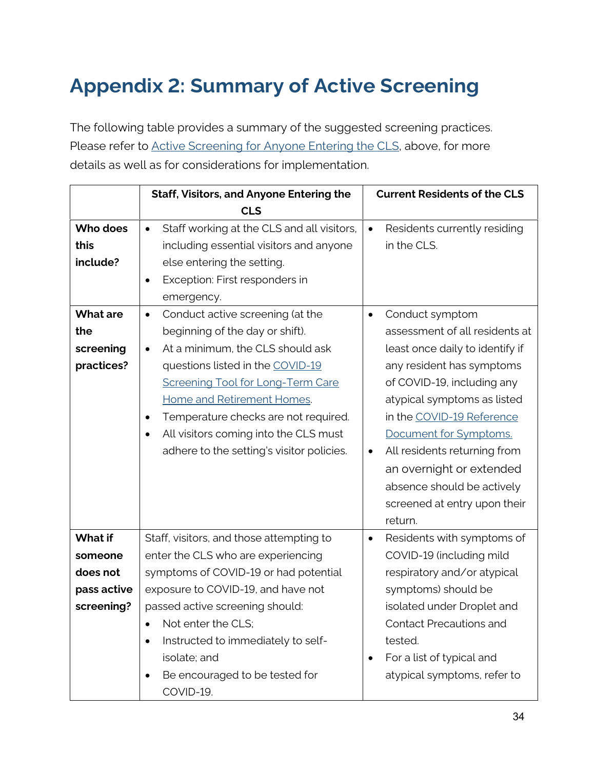# <span id="page-33-0"></span>**Appendix 2: Summary of Active Screening**

The following table provides a summary of the suggested screening practices. Please refer to [Active Screening for Anyone Entering the CLS,](#page-7-1) above, for more details as well as for considerations for implementation.

|                 | <b>Staff, Visitors, and Anyone Entering the</b>          |           | <b>Current Residents of the CLS</b> |
|-----------------|----------------------------------------------------------|-----------|-------------------------------------|
|                 | <b>CLS</b>                                               |           |                                     |
| Who does        | Staff working at the CLS and all visitors,<br>$\bullet$  | $\bullet$ | Residents currently residing        |
| this            | including essential visitors and anyone                  |           | in the CLS.                         |
| include?        | else entering the setting.                               |           |                                     |
|                 | Exception: First responders in<br>$\bullet$              |           |                                     |
|                 | emergency.                                               |           |                                     |
| <b>What are</b> | Conduct active screening (at the<br>$\bullet$            | $\bullet$ | Conduct symptom                     |
| the             | beginning of the day or shift).                          |           | assessment of all residents at      |
| screening       | At a minimum, the CLS should ask<br>$\bullet$            |           | least once daily to identify if     |
| practices?      | questions listed in the COVID-19                         |           | any resident has symptoms           |
|                 | <b>Screening Tool for Long-Term Care</b>                 |           | of COVID-19, including any          |
|                 | Home and Retirement Homes.                               |           | atypical symptoms as listed         |
|                 | Temperature checks are not required.<br>$\bullet$        |           | in the COVID-19 Reference           |
|                 | All visitors coming into the CLS must<br>$\bullet$       |           | Document for Symptoms.              |
|                 | adhere to the setting's visitor policies.                | $\bullet$ | All residents returning from        |
|                 |                                                          |           | an overnight or extended            |
|                 |                                                          |           | absence should be actively          |
|                 |                                                          |           | screened at entry upon their        |
|                 |                                                          |           | return.                             |
| <b>What if</b>  | Staff, visitors, and those attempting to                 | $\bullet$ | Residents with symptoms of          |
| someone         | enter the CLS who are experiencing                       |           | COVID-19 (including mild            |
| does not        | symptoms of COVID-19 or had potential                    |           | respiratory and/or atypical         |
| pass active     | exposure to COVID-19, and have not                       |           | symptoms) should be                 |
| screening?      | passed active screening should:                          |           | isolated under Droplet and          |
|                 | Not enter the CLS:<br>$\bullet$                          |           | <b>Contact Precautions and</b>      |
|                 | Instructed to immediately to self-<br>$\bullet$          |           | tested.                             |
|                 | isolate; and                                             | ٠         | For a list of typical and           |
|                 | Be encouraged to be tested for<br>$\bullet$<br>COVID-19. |           | atypical symptoms, refer to         |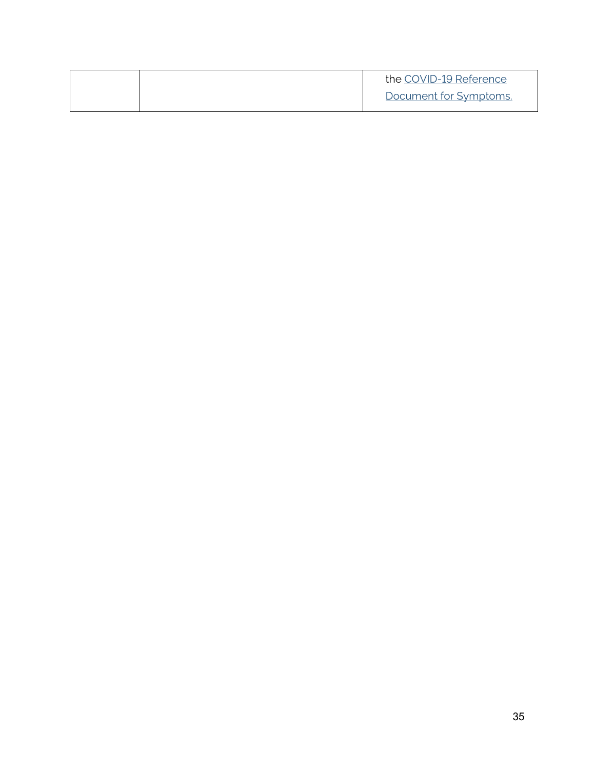<span id="page-34-0"></span>

|  | the COVID-19 Reference |
|--|------------------------|
|  | Document for Symptoms. |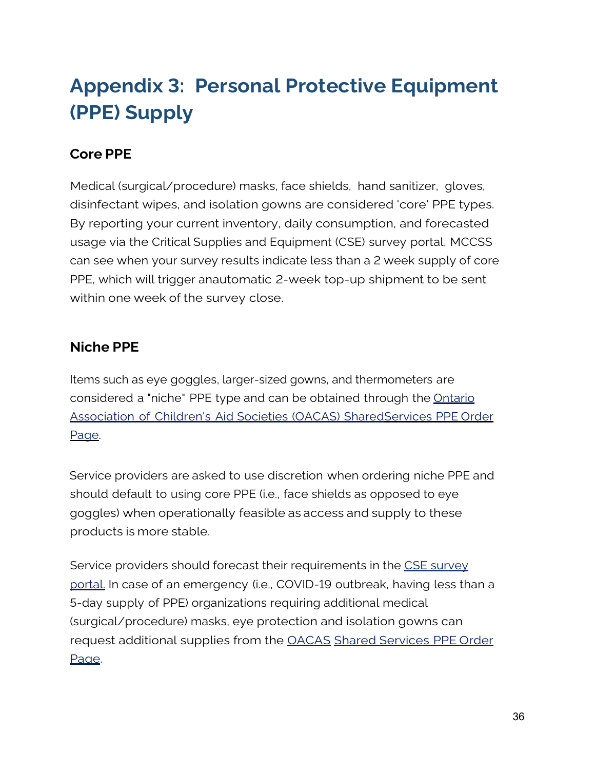# **Appendix 3: Personal Protective Equipment (PPE) Supply**

# **Core PPE**

Medical (surgical/procedure) masks, face shields, hand sanitizer, gloves, disinfectant wipes, and isolation gowns are considered 'core' PPE types. By reporting your current inventory, daily consumption, and forecasted usage via the Critical Supplies and Equipment (CSE) survey portal, MCCSS can see when your survey results indicate less than a 2 week supply of core PPE, which will trigger anautomatic 2-week top-up shipment to be sent within one week of the survey close.

### **Niche PPE**

Items such as eye goggles, larger-sized gowns, and thermometers are considered a "niche" PPE type and can be obtained through the [Ontario](https://request.cwconnects.org/tpr/) Association of [Children's Aid Societies](https://request.cwconnects.org/tpr/) (OACAS) Share[dServices](https://request.cwconnects.org/tpr/) PPE Order [Page.](https://request.cwconnects.org/tpr/)

Service providers are asked to use discretion when ordering niche PPE and should default to using core PPE (i.e., face shields as opposed to eye goggles) when operationally feasible as access and supply to these products is more stable.

Service providers should forecast their requirements in the [CSE survey](https://ontario-ppecse-survey.mgcs.gov.on.ca/Login) [portal.](https://ontario-ppecse-survey.mgcs.gov.on.ca/Login) In case of an emergency (i.e., COVID-19 outbreak, having less than a 5-day supply of PPE) organizations requiring additional medical (surgical/procedure) masks, eye protection and isolation gowns can request additional supplies from the [OACAS](https://request.cwconnects.org/tpr/) [Shared Services PPE](https://request.cwconnects.org/tpr/) Order [Page.](https://request.cwconnects.org/tpr/)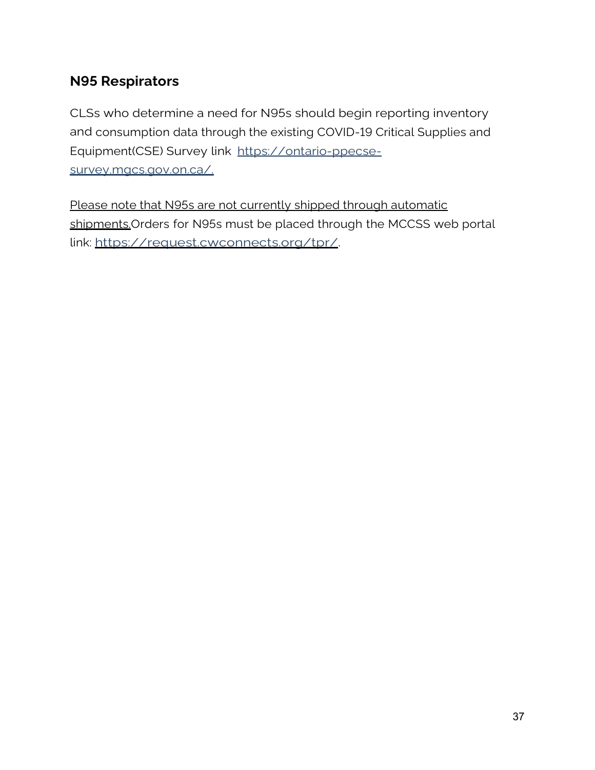## **N95 Respirators**

CLSs who determine a need for N95s should begin reporting inventory and consumption data through the existing COVID-19 Critical Supplies and Equipment(CSE) Survey link [https://ontario-ppecse](https://ontario-ppecse-survey.mgcs.gov.on.ca/)[survey.mgcs.gov.on.ca/.](https://ontario-ppecse-survey.mgcs.gov.on.ca/)

Please note that N95s are not currently shipped through automatic shipments.Orders for N95s must be placed through the MCCSS web portal link: [https://request.cwconnects.org/tpr/.](https://request.cwconnects.org/tpr/)